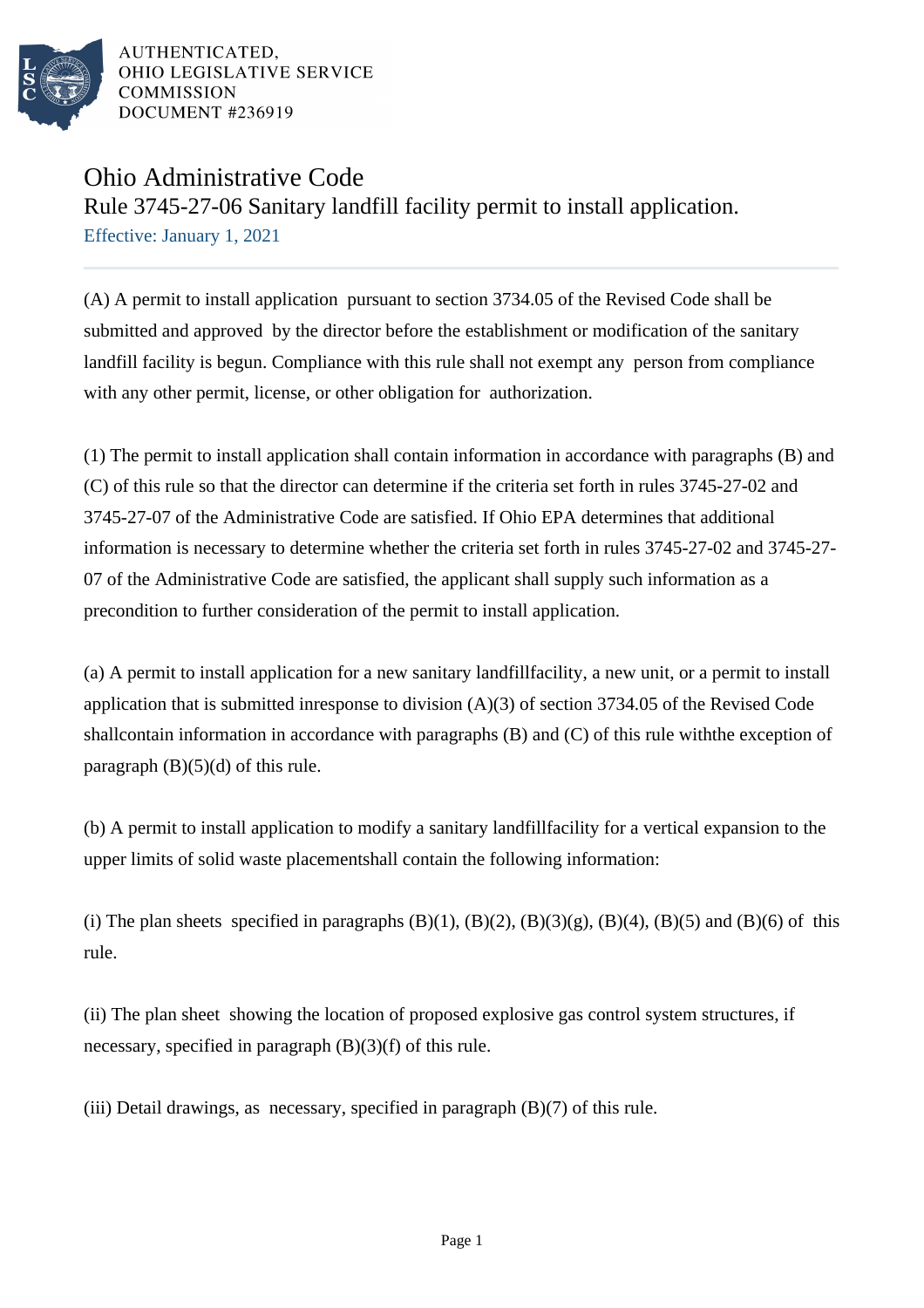

# Ohio Administrative Code

Rule 3745-27-06 Sanitary landfill facility permit to install application.

Effective: January 1, 2021

(A) A permit to install application pursuant to section 3734.05 of the Revised Code shall be submitted and approved by the director before the establishment or modification of the sanitary landfill facility is begun. Compliance with this rule shall not exempt any person from compliance with any other permit, license, or other obligation for authorization.

(1) The permit to install application shall contain information in accordance with paragraphs (B) and (C) of this rule so that the director can determine if the criteria set forth in rules 3745-27-02 and 3745-27-07 of the Administrative Code are satisfied. If Ohio EPA determines that additional information is necessary to determine whether the criteria set forth in rules 3745-27-02 and 3745-27-07 of the Administrative Code are satisfied, the applicant shall supply such information as a precondition to further consideration of the permit to install application.

(a) A permit to install application for a new sanitary landfill facility, a new unit, or a permit to install application that is submitted in response to division  $(A)(3)$  of section 3734.05 of the Revised Code shall contain information in accordance with paragraphs  $(B)$  and  $(C)$  of this rule with the exception of paragraph  $(B)(5)(d)$  of this rule.

(b) A permit to install application to modify a sanitary landfill facility for a vertical expansion to the upper limits of solid waste placement shall contain the following information:

(i) The plan sheets specified in paragraphs  $(B)(1)$ ,  $(B)(2)$ ,  $(B)(3)(g)$ ,  $(B)(4)$ ,  $(B)(5)$  and  $(B)(6)$  of this rule.

(ii) The plan sheet showing the location of proposed explosive gas control system structures, if necessary, specified in paragraph (B)(3)(f) of this rule.

(iii) Detail drawings, as necessary, specified in paragraph  $(B)(7)$  of this rule.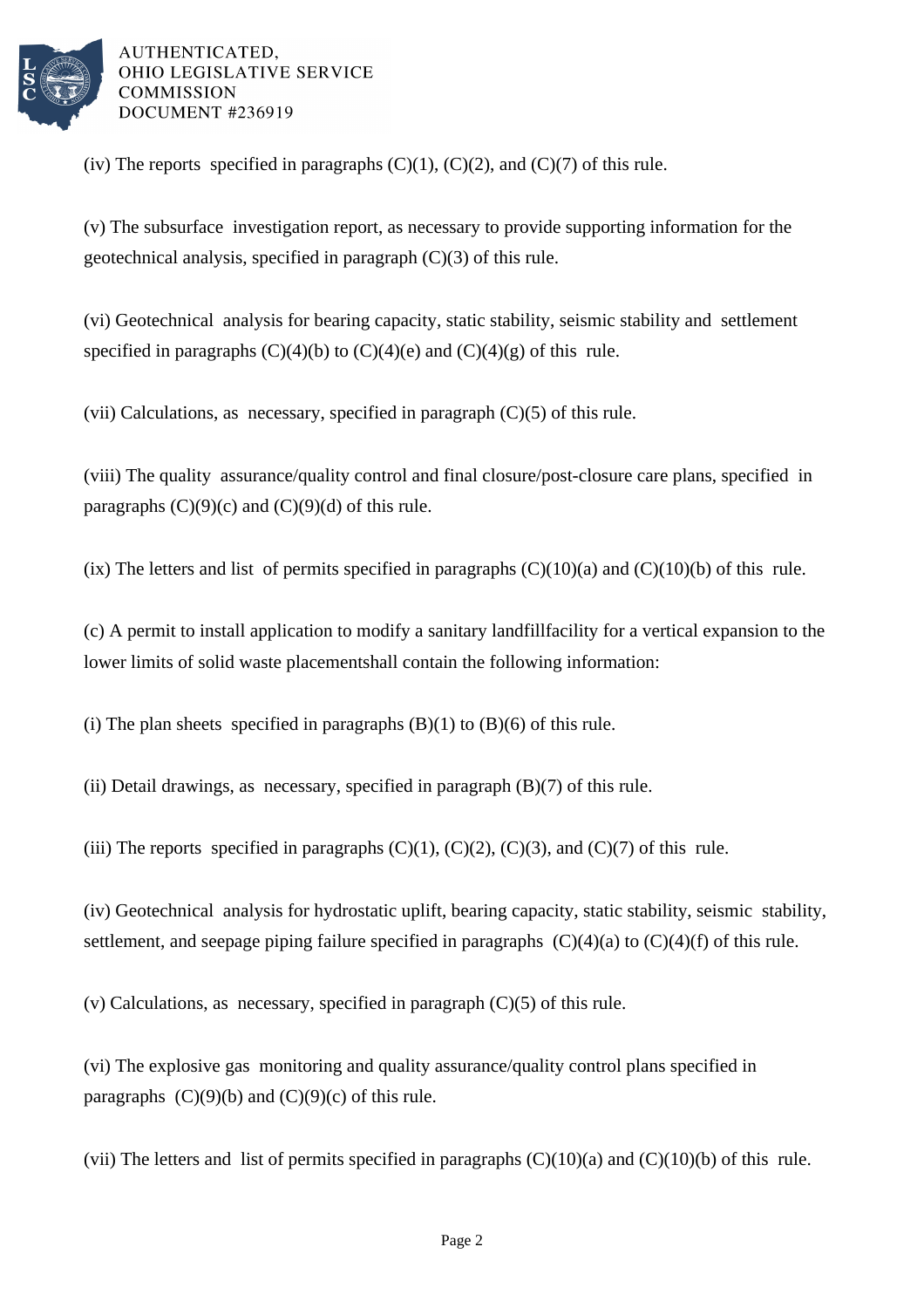

(iv) The reports specified in paragraphs  $(C)(1)$ ,  $(C)(2)$ , and  $(C)(7)$  of this rule.

(v) The subsurface investigation report, as necessary to provide supporting information for the geotechnical analysis, specified in paragraph (C)(3) of this rule.

(vi) Geotechnical analysis for bearing capacity, static stability, seismic stability and settlement specified in paragraphs  $(C)(4)(b)$  to  $(C)(4)(e)$  and  $(C)(4)(g)$  of this rule.

(vii) Calculations, as necessary, specified in paragraph  $(C)(5)$  of this rule.

(viii) The quality assurance/quality control and final closure/post-closure care plans, specified in paragraphs  $(C)(9)(c)$  and  $(C)(9)(d)$  of this rule.

(ix) The letters and list of permits specified in paragraphs  $(C)(10)(a)$  and  $(C)(10)(b)$  of this rule.

(c) A permit to install application to modify a sanitary landfill facility for a vertical expansion to the lower limits of solid waste placement shall contain the following information:

(i) The plan sheets specified in paragraphs  $(B)(1)$  to  $(B)(6)$  of this rule.

(ii) Detail drawings, as necessary, specified in paragraph  $(B)(7)$  of this rule.

(iii) The reports specified in paragraphs  $(C)(1)$ ,  $(C)(2)$ ,  $(C)(3)$ , and  $(C)(7)$  of this rule.

(iv) Geotechnical analysis for hydrostatic uplift, bearing capacity, static stability, seismic stability, settlement, and seepage piping failure specified in paragraphs  $(C)(4)(a)$  to  $(C)(4)(f)$  of this rule.

(v) Calculations, as necessary, specified in paragraph  $(C)(5)$  of this rule.

(vi) The explosive gas monitoring and quality assurance/quality control plans specified in paragraphs  $(C)(9)(b)$  and  $(C)(9)(c)$  of this rule.

(vii) The letters and list of permits specified in paragraphs  $(C)(10)(a)$  and  $(C)(10)(b)$  of this rule.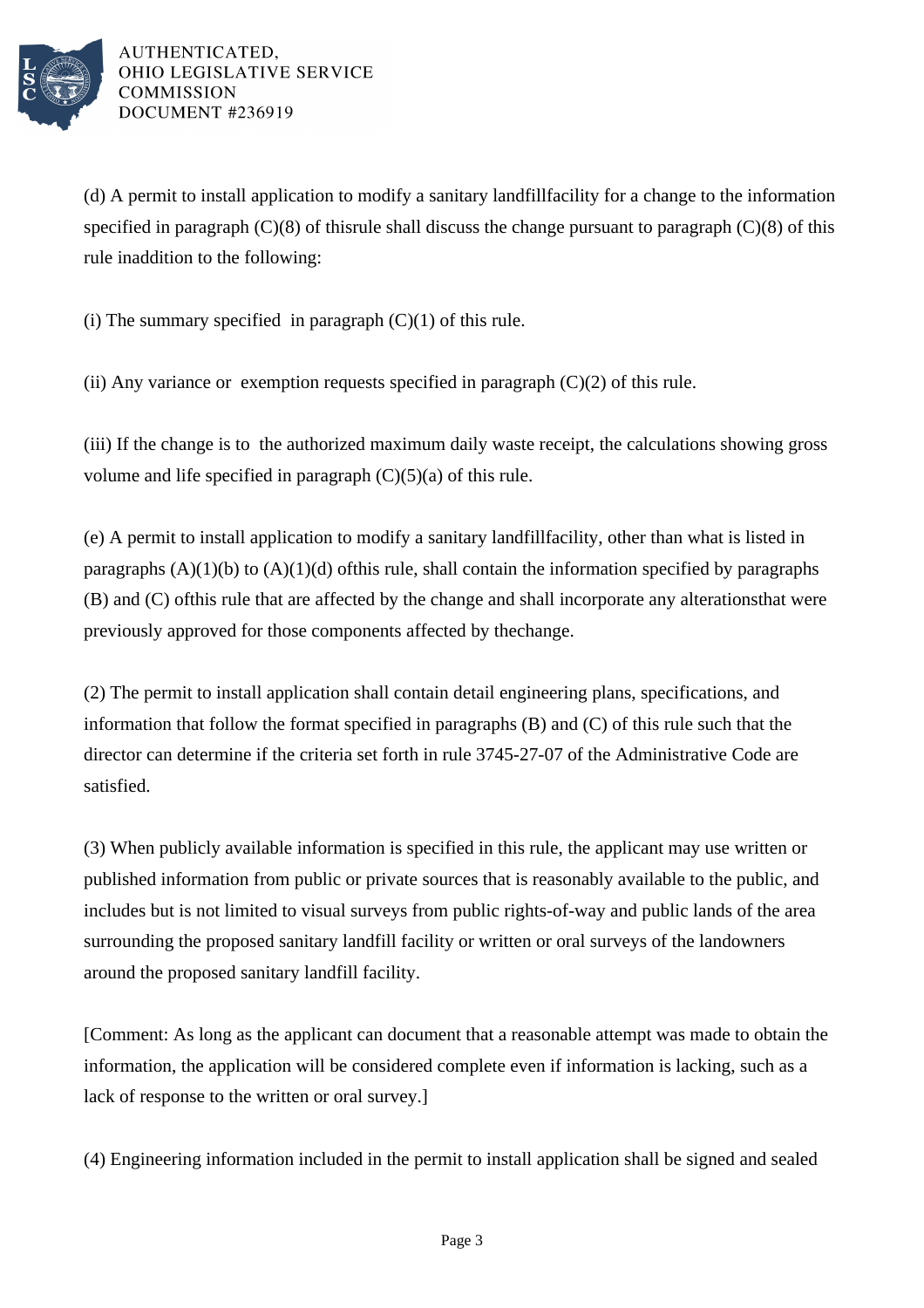

(d) A permit to install application to modify a sanitary landfill facility for a change to the information specified in paragraph  $(C)(8)$  of this rule shall discuss the change pursuant to paragraph  $(C)(8)$  of this rule in addition to the following:

(i) The summary specified in paragraph  $(C)(1)$  of this rule.

(ii) Any variance or exemption requests specified in paragraph  $(C)(2)$  of this rule.

(iii) If the change is to the authorized maximum daily waste receipt, the calculations showing gross volume and life specified in paragraph  $(C)(5)(a)$  of this rule.

(e) A permit to install application to modify a sanitary landfill facility, other than what is listed in paragraphs  $(A)(1)(b)$  to  $(A)(1)(d)$  of this rule, shall contain the information specified by paragraphs  $(B)$  and  $(C)$  of this rule that are affected by the change and shall incorporate any alterations that were previously approved for those components affected by the change.

(2) The permit to install application shall contain detail engineering plans, specifications, and information that follow the format specified in paragraphs  $(B)$  and  $(C)$  of this rule such that the director can determine if the criteria set forth in rule 3745-27-07 of the Administrative Code are satisfied.

(3) When publicly available information is specified in this rule, the applicant may use written or published information from public or private sources that is reasonably available to the public, and includes but is not limited to visual surveys from public rights-of-way and public lands of the area surrounding the proposed sanitary landfill facility or written or oral surveys of the landowners around the proposed sanitary landfill facility.

[Comment: As long as the applicant can document that a reasonable attempt was made to obtain the information, the application will be considered complete even if information is lacking, such as a lack of response to the written or oral survey.]

(4) Engineering information included in the permit to install application shall be signed and sealed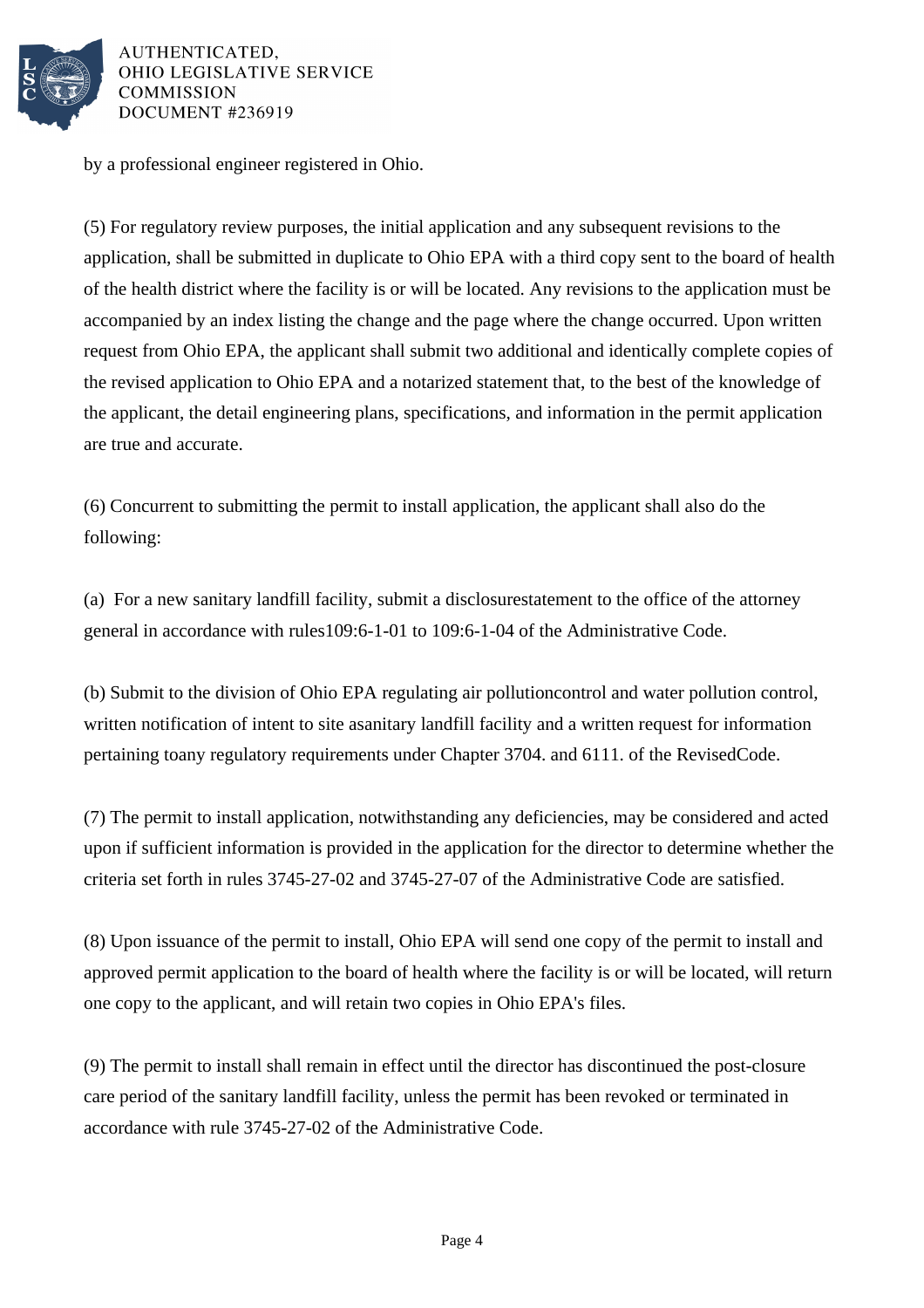

by a professional engineer registered in Ohio.

(5) For regulatory review purposes, the initial application and any subsequent revisions to the application, shall be submitted in duplicate to Ohio EPA with a third copy sent to the board of health of the health district where the facility is or will be located. Any revisions to the application must be accompanied by an index listing the change and the page where the change occurred. Upon written request from Ohio EPA, the applicant shall submit two additional and identically complete copies of the revised application to Ohio EPA and a notarized statement that, to the best of the knowledge of the applicant, the detail engineering plans, specifications, and information in the permit application are true and accurate.

(6) Concurrent to submitting the permit to install application, the applicant shall also do the following:

(a) For a new sanitary landfill facility, submit a disclosure statement to the office of the attorney general in accordance with rules 109:6-1-01 to 109:6-1-04 of the Administrative Code.

(b) Submit to the division of Ohio EPA regulating air pollution control and water pollution control, written notification of intent to site a sanitary landfill facility and a written request for information pertaining to any regulatory requirements under Chapter 3704. and 6111. of the Revised Code.

(7) The permit to install application, notwithstanding any deficiencies, may be considered and acted upon if sufficient information is provided in the application for the director to determine whether the criteria set forth in rules 3745-27-02 and 3745-27-07 of the Administrative Code are satisfied.

(8) Upon issuance of the permit to install, Ohio EPA will send one copy of the permit to install and approved permit application to the board of health where the facility is or will be located, will return one copy to the applicant, and will retain two copies in Ohio EPA's files.

(9) The permit to install shall remain in effect until the director has discontinued the post-closure care period of the sanitary landfill facility, unless the permit has been revoked or terminated in accordance with rule 3745-27-02 of the Administrative Code.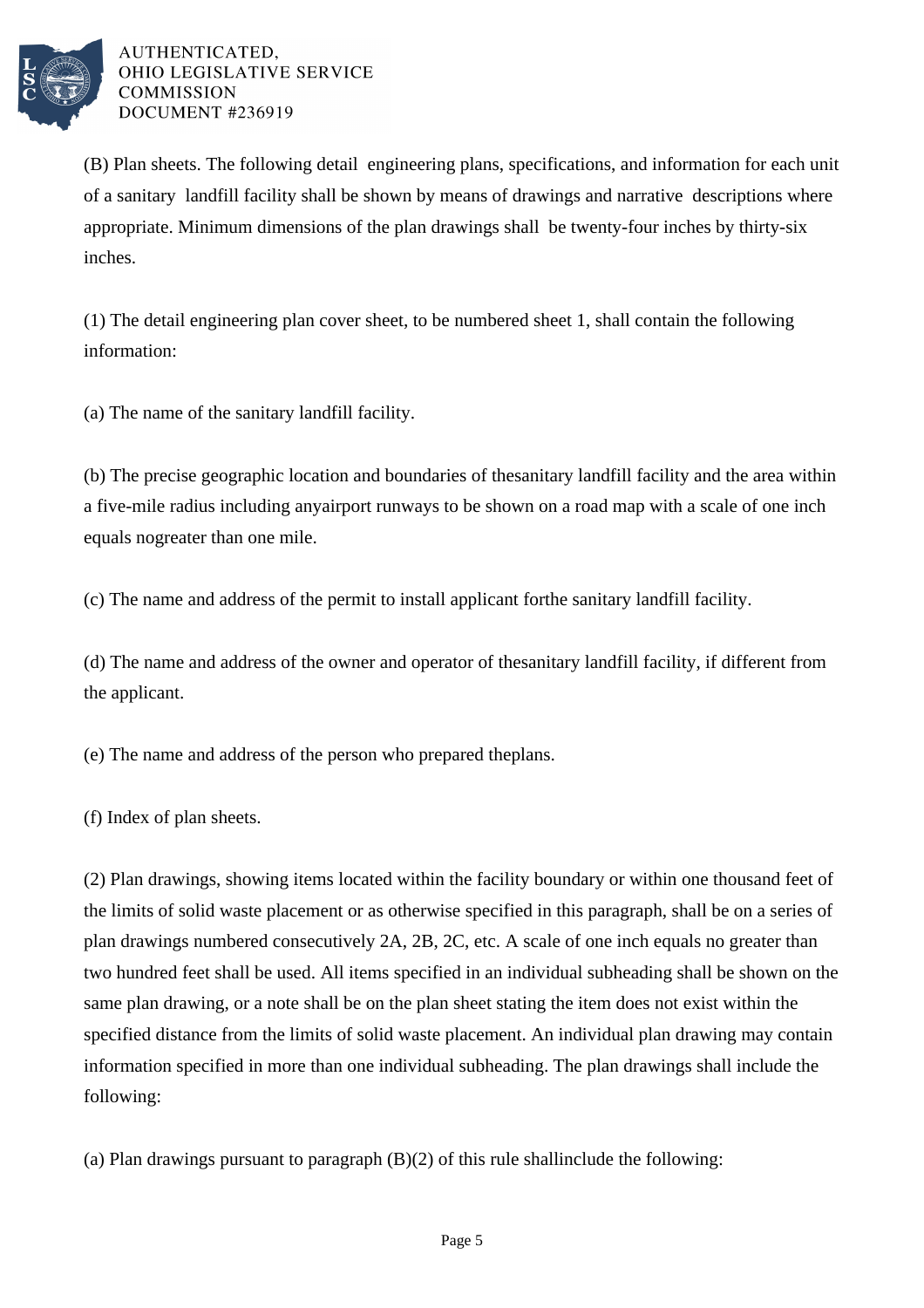

(B) Plan sheets. The following detail engineering plans, specifications, and information for each unit of a sanitary landfill facility shall be shown by means of drawings and narrative descriptions where appropriate. Minimum dimensions of the plan drawings shall be twenty-four inches by thirty-six inches.

 $(1)$  The detail engineering plan cover sheet, to be numbered sheet 1, shall contain the following information:

(a) The name of the sanitary landfill facility.

(b) The precise geographic location and boundaries of the sanitary landfill facility and the area within a five-mile radius including any airport runways to be shown on a road map with a scale of one inch equals no greater than one mile.

(c) The name and address of the permit to install applicant for the sanitary landfill facility.

(d) The name and address of the owner and operator of the sanitary landfill facility, if different from the applicant.

(e) The name and address of the person who prepared the plans.

(f) Index of plan sheets.

(2) Plan drawings, showing items located within the facility boundary or within one thousand feet of the limits of solid waste placement or as otherwise specified in this paragraph, shall be on a series of plan drawings numbered consecutively 2A, 2B, 2C, etc. A scale of one inch equals no greater than two hundred feet shall be used. All items specified in an individual subheading shall be shown on the same plan drawing, or a note shall be on the plan sheet stating the item does not exist within the specified distance from the limits of solid waste placement. An individual plan drawing may contain information specified in more than one individual subheading. The plan drawings shall include the following:

(a) Plan drawings pursuant to paragraph  $(B)(2)$  of this rule shall include the following: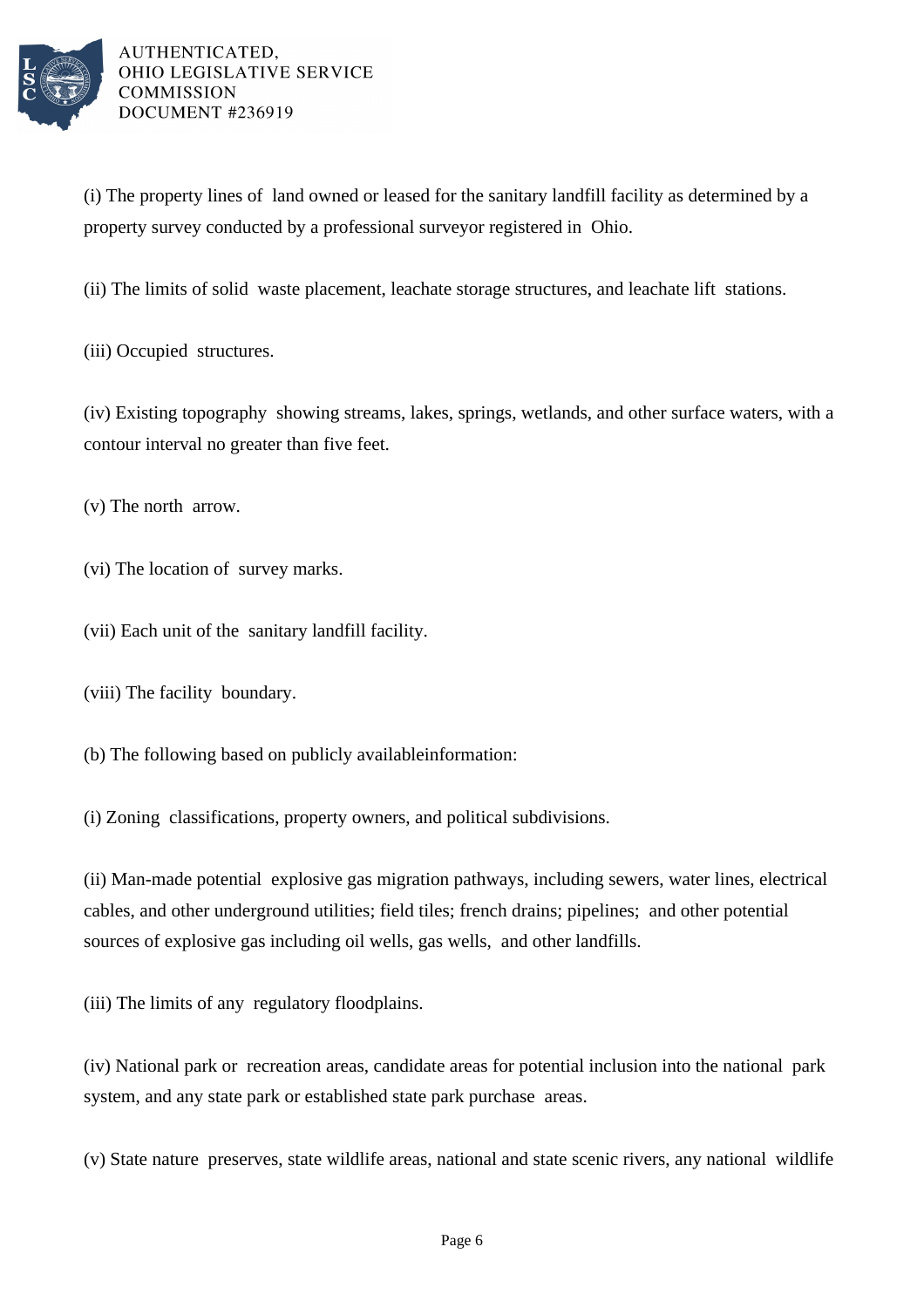

(i) The property lines of land owned or leased for the sanitary landfill facility as determined by a property survey conducted by a professional surveyor registered in Ohio.

(ii) The limits of solid waste placement, leachate storage structures, and leachate lift stations.

(iii) Occupied structures.

(iv) Existing topography showing streams, lakes, springs, wetlands, and other surface waters, with a contour interval no greater than five feet.

 $(v)$  The north arrow.

(vi) The location of survey marks.

(vii) Each unit of the sanitary landfill facility.

(viii) The facility boundary.

(b) The following based on publicly available information:

(i) Zoning classifications, property owners, and political subdivisions.

(ii) Man-made potential explosive gas migration pathways, including sewers, water lines, electrical cables, and other underground utilities; field tiles; french drains; pipelines; and other potential sources of explosive gas including oil wells, gas wells, and other landfills.

(iii) The limits of any regulatory floodplains.

(iv) National park or recreation areas, candidate areas for potential inclusion into the national park system, and any state park or established state park purchase areas.

(v) State nature preserves, state wildlife areas, national and state scenic rivers, any national wildlife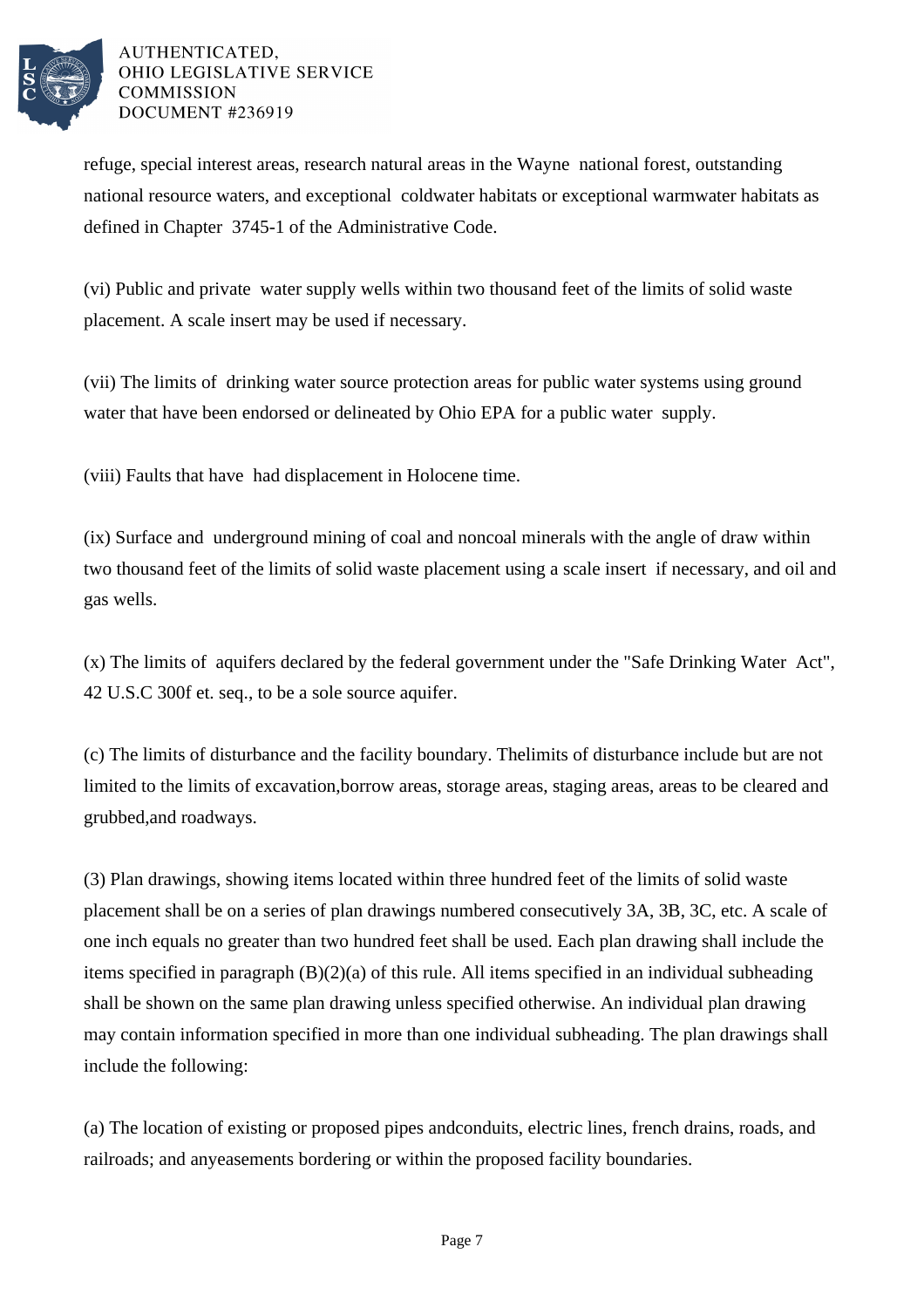

refuge, special interest areas, research natural areas in the Wayne national forest, outstanding national resource waters, and exceptional coldwater habitats or exceptional warmwater habitats as defined in Chapter 3745-1 of the Administrative Code.

(vi) Public and private water supply wells within two thousand feet of the limits of solid waste placement. A scale insert may be used if necessary.

(vii) The limits of drinking water source protection areas for public water systems using ground water that have been endorsed or delineated by Ohio EPA for a public water supply.

(viii) Faults that have had displacement in Holocene time.

(ix) Surface and underground mining of coal and noncoal minerals with the angle of draw within two thousand feet of the limits of solid waste placement using a scale insert if necessary, and oil and gas wells.

(x) The limits of aquifers declared by the federal government under the "Safe Drinking Water Act", 42 U.S.C 300f et. seq., to be a sole source aquifer.

(c) The limits of disturbance and the facility boundary. The limits of disturbance include but are not limited to the limits of excavation, borrow areas, storage areas, staging areas, areas to be cleared and grubbed, and roadways.

(3) Plan drawings, showing items located within three hundred feet of the limits of solid waste placement shall be on a series of plan drawings numbered consecutively 3A, 3B, 3C, etc. A scale of one inch equals no greater than two hundred feet shall be used. Each plan drawing shall include the items specified in paragraph  $(B)(2)(a)$  of this rule. All items specified in an individual subheading shall be shown on the same plan drawing unless specified otherwise. An individual plan drawing may contain information specified in more than one individual subheading. The plan drawings shall include the following:

(a) The location of existing or proposed pipes and conduits, electric lines, french drains, roads, and railroads; and any easements bordering or within the proposed facility boundaries.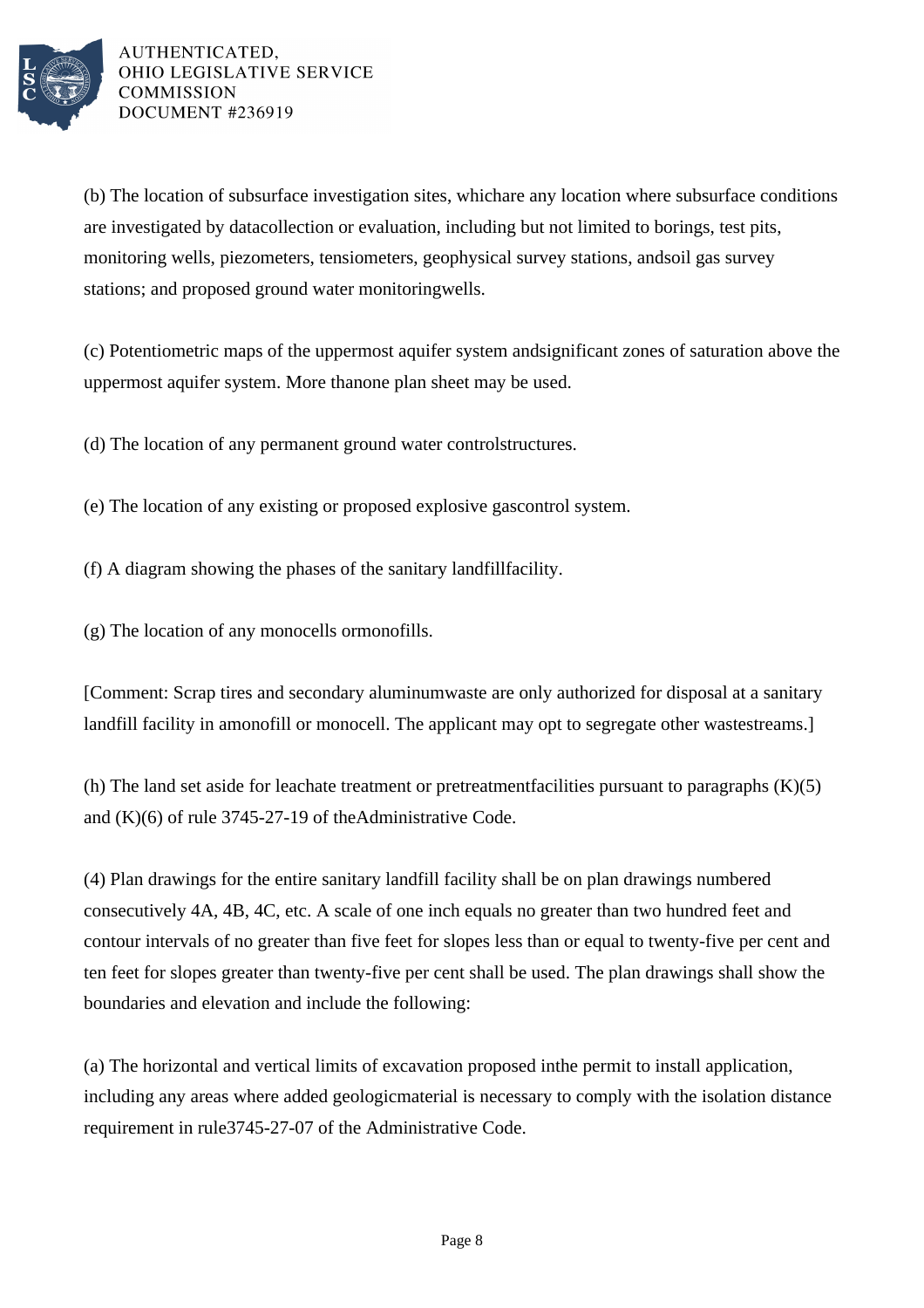

(b) The location of subsurface investigation sites, which are any location where subsurface conditions are investigated by data collection or evaluation, including but not limited to borings, test pits, monitoring wells, piezometers, tensiometers, geophysical survey stations, and soil gas survey stations; and proposed ground water monitoring wells.

(c) Potentiometric maps of the uppermost aquifer system and significant zones of saturation above the uppermost aquifer system. More than one plan sheet may be used.

(d) The location of any permanent ground water control structures.

(e) The location of any existing or proposed explosive gas control system.

- (f) A diagram showing the phases of the sanitary landfill facility.
- $(g)$  The location of any monocells or monofills.

[Comment: Scrap tires and secondary aluminum waste are only authorized for disposal at a sanitary landfill facility in a monofill or monocell. The applicant may opt to segregate other waste streams.

(h) The land set aside for leachate treatment or pretreatment facilities pursuant to paragraphs  $(K)(5)$ and  $(K)(6)$  of rule 3745-27-19 of the Administrative Code.

(4) Plan drawings for the entire sanitary landfill facility shall be on plan drawings numbered consecutively 4A, 4B, 4C, etc. A scale of one inch equals no greater than two hundred feet and contour intervals of no greater than five feet for slopes less than or equal to twenty-five per cent and ten feet for slopes greater than twenty-five per cent shall be used. The plan drawings shall show the boundaries and elevation and include the following:

(a) The horizontal and vertical limits of excavation proposed in the permit to install application, including any areas where added geologic material is necessary to comply with the isolation distance requirement in rule 3745-27-07 of the Administrative Code.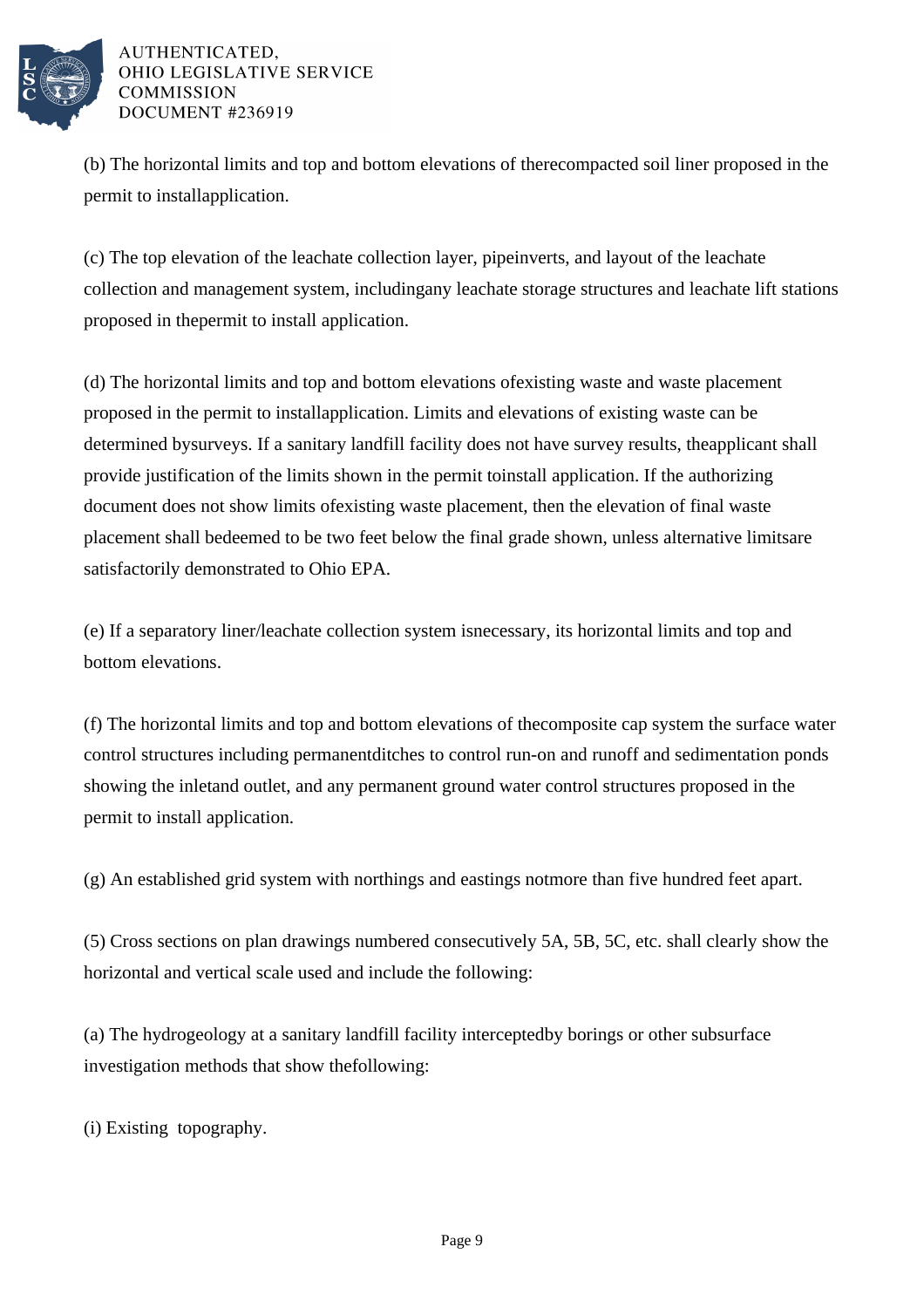

(b) The horizontal limits and top and bottom elevations of the recompacted soil liner proposed in the permit to install application.

(c) The top elevation of the leachate collection layer, pipe inverts, and layout of the leachate collection and management system, including any leachate storage structures and leachate lift stations proposed in the permit to install application.

(d) The horizontal limits and top and bottom elevations of existing waste and waste placement proposed in the permit to install application. Limits and elevations of existing waste can be determined by surveys. If a sanitary landfill facility does not have survey results, the applicant shall provide justification of the limits shown in the permit to install application. If the authorizing document does not show limits of existing waste placement, then the elevation of final waste placement shall be deemed to be two feet below the final grade shown, unless alternative limits are satisfactorily demonstrated to Ohio EPA.

(e) If a separatory liner/leachate collection system is necessary, its horizontal limits and top and bottom elevations.

(f) The horizontal limits and top and bottom elevations of the composite cap system the surface water control structures including permanent ditches to control run-on and runoff and sedimentation ponds showing the inlet and outlet, and any permanent ground water control structures proposed in the permit to install application.

 $(g)$  An established grid system with northings and eastings not more than five hundred feet apart.

(5) Cross sections on plan drawings numbered consecutively 5A, 5B, 5C, etc. shall clearly show the horizontal and vertical scale used and include the following:

(a) The hydrogeology at a sanitary landfill facility intercepted by borings or other subsurface investigation methods that show the following:

(i) Existing topography.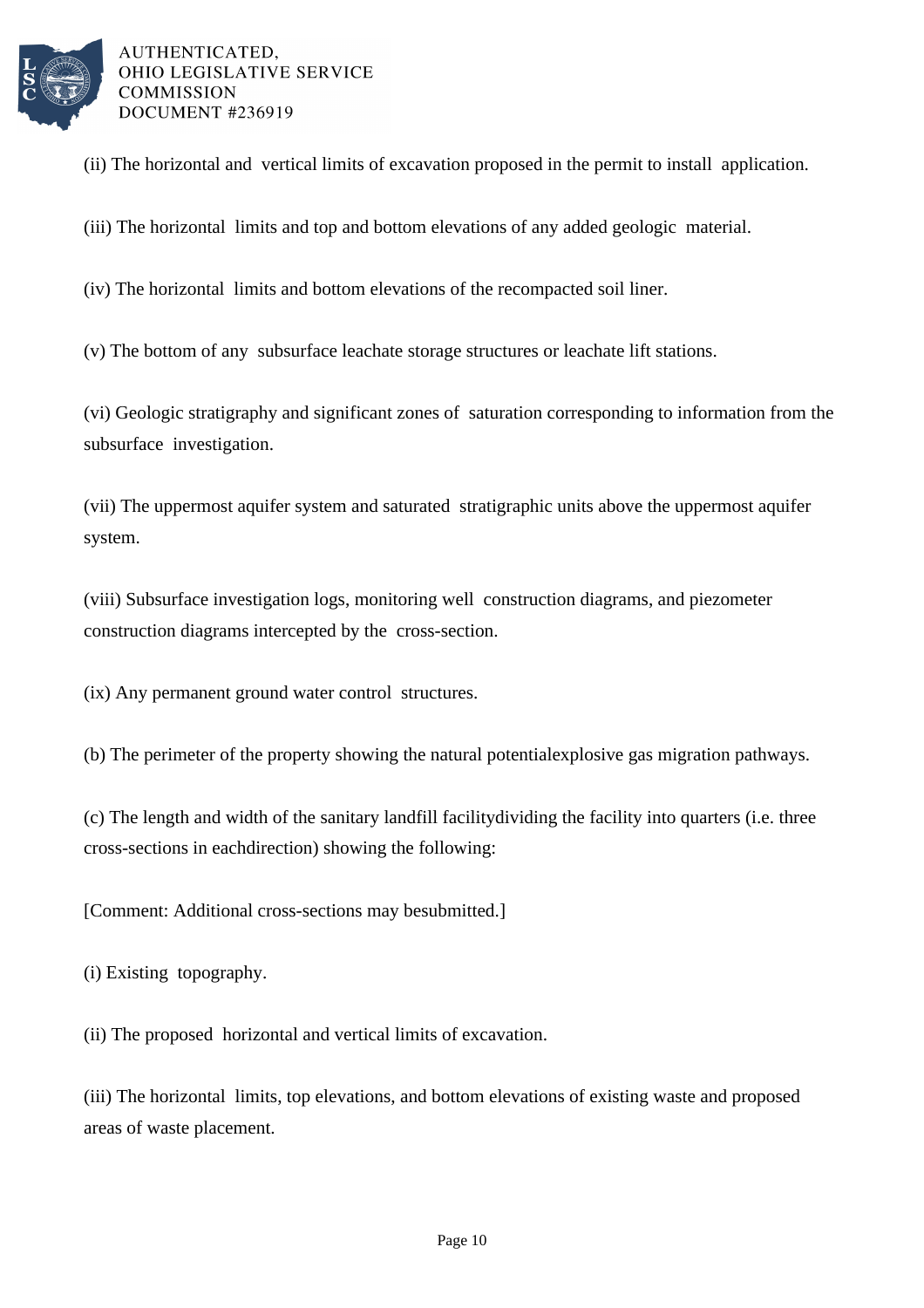

(ii) The horizontal and vertical limits of excavation proposed in the permit to install application.

(iii) The horizontal limits and top and bottom elevations of any added geologic material.

(iv) The horizontal limits and bottom elevations of the recompacted soil liner.

(v) The bottom of any subsurface leachate storage structures or leachate lift stations.

(vi) Geologic stratigraphy and significant zones of saturation corresponding to information from the subsurface investigation.

(vii) The uppermost aquifer system and saturated stratigraphic units above the uppermost aquifer system.

(viii) Subsurface investigation logs, monitoring well construction diagrams, and piezometer construction diagrams intercepted by the cross-section.

(ix) Any permanent ground water control structures.

(b) The perimeter of the property showing the natural potential explosive gas migration pathways.

(c) The length and width of the sanitary landfill facility dividing the facility into quarters (i.e. three cross-sections in each direction) showing the following:

[Comment: Additional cross-sections may be submitted.]

(i) Existing topography.

(ii) The proposed horizontal and vertical limits of excavation.

(iii) The horizontal limits, top elevations, and bottom elevations of existing waste and proposed areas of waste placement.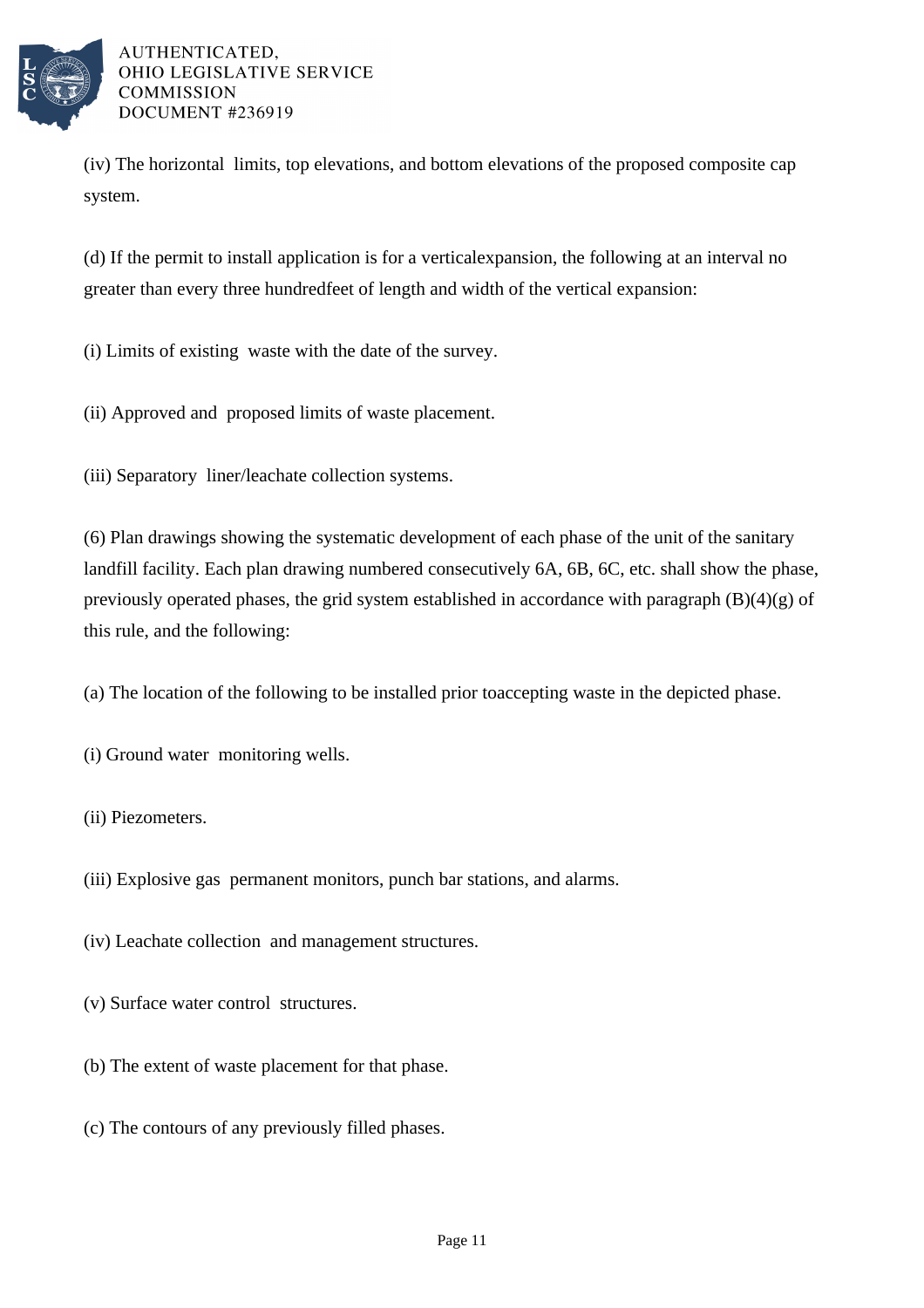

(iv) The horizontal limits, top elevations, and bottom elevations of the proposed composite cap system.

(d) If the permit to install application is for a vertical expansion, the following at an interval no greater than every three hundred feet of length and width of the vertical expansion:

- (i) Limits of existing waste with the date of the survey.
- (ii) Approved and proposed limits of waste placement.
- (iii) Separatory liner/leachate collection systems.

 $(6)$  Plan drawings showing the systematic development of each phase of the unit of the sanitary landfill facility. Each plan drawing numbered consecutively 6A, 6B, 6C, etc. shall show the phase, previously operated phases, the grid system established in accordance with paragraph  $(B)(4)(g)$  of this rule, and the following:

- (a) The location of the following to be installed prior to accepting waste in the depicted phase.
- (i) Ground water monitoring wells.
- (ii) Piezometers.
- (iii) Explosive gas permanent monitors, punch bar stations, and alarms.
- (iv) Leachate collection and management structures.
- (v) Surface water control structures.
- (b) The extent of waste placement for that phase.
- (c) The contours of any previously filled phases.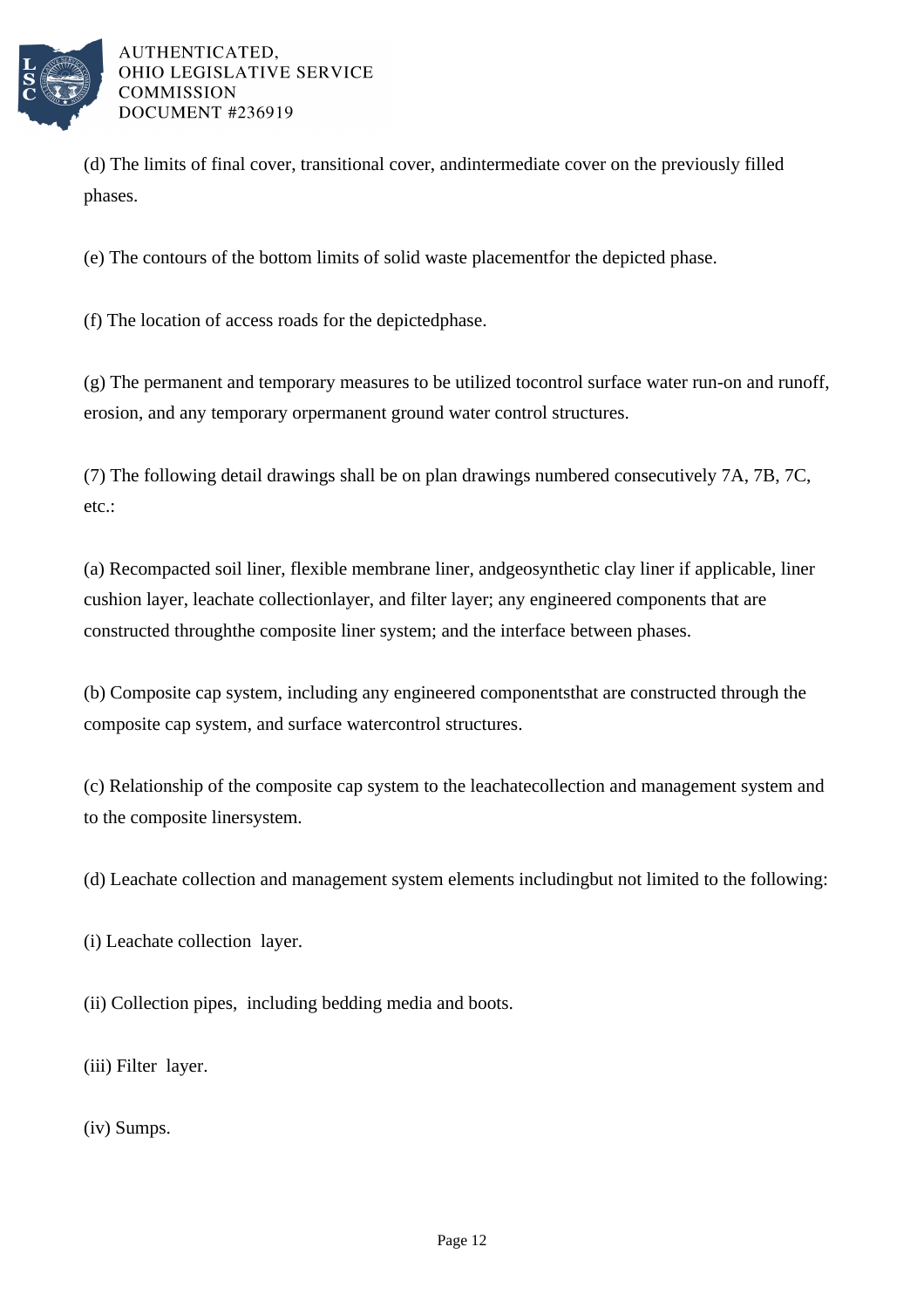

(d) The limits of final cover, transitional cover, and intermediate cover on the previously filled phases.

(e) The contours of the bottom limits of solid waste placement for the depicted phase.

(f) The location of access roads for the depicted phase.

 $(g)$  The permanent and temporary measures to be utilized to control surface water run-on and runoff, erosion, and any temporary or permanent ground water control structures.

(7) The following detail drawings shall be on plan drawings numbered consecutively 7A, 7B, 7C, etc.:

(a) Recompacted soil liner, flexible membrane liner, and geosynthetic clay liner if applicable, liner cushion layer, leachate collection layer, and filter layer; any engineered components that are constructed through the composite liner system; and the interface between phases.

(b) Composite cap system, including any engineered components that are constructed through the composite cap system, and surface water control structures.

(c) Relationship of the composite cap system to the leachate collection and management system and to the composite liner system.

(d) Leachate collection and management system elements including but not limited to the following:

(i) Leachate collection layer.

(ii) Collection pipes, including bedding media and boots.

(iii) Filter layer.

(iv) Sumps.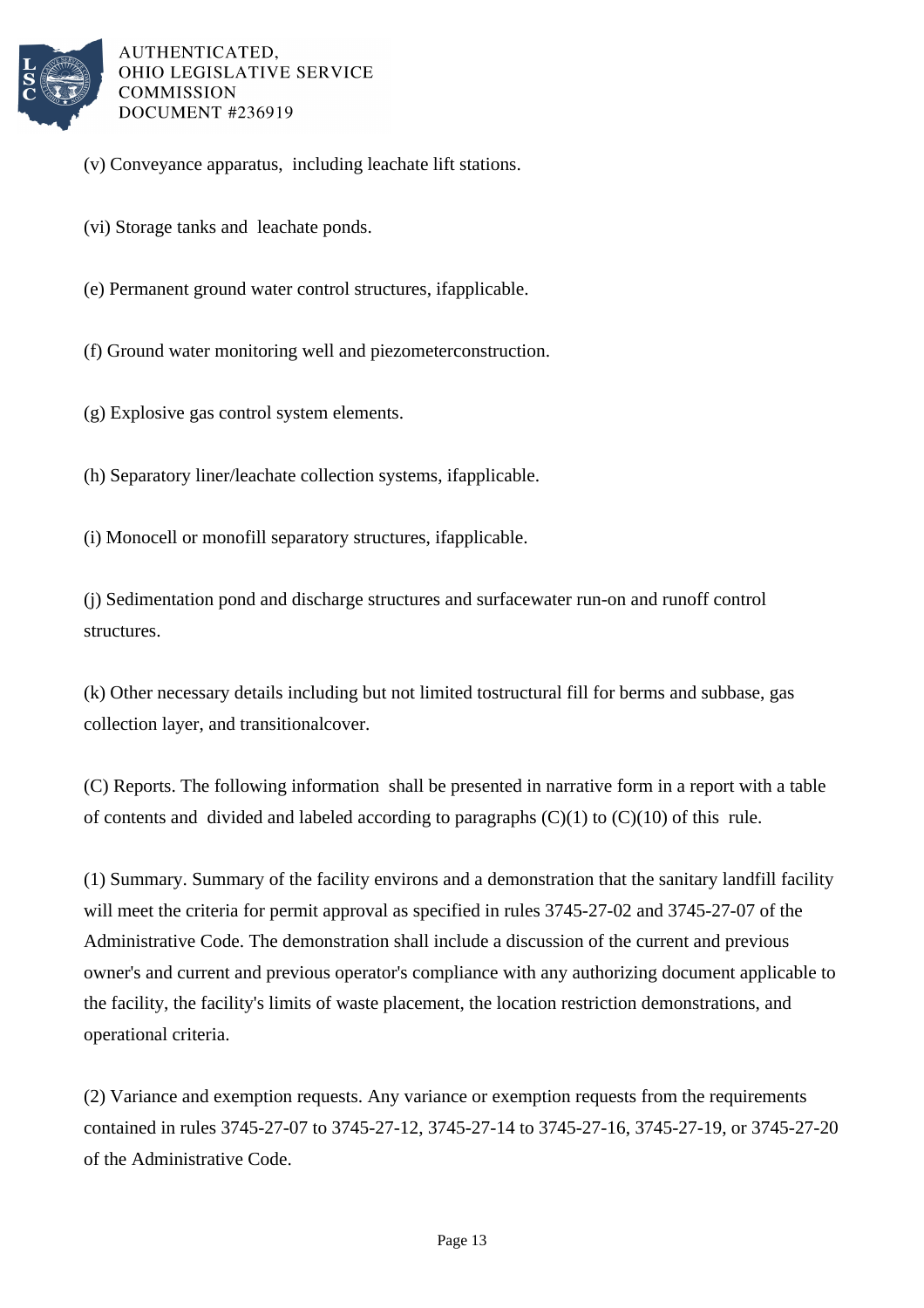

- (v) Conveyance apparatus, including leachate lift stations.
- (vi) Storage tanks and leachate ponds.
- (e) Permanent ground water control structures, if applicable.
- (f) Ground water monitoring well and piezometer construction.
- (g) Explosive gas control system elements.
- (h) Separatory liner/leachate collection systems, if applicable.
- (i) Monocell or monofill separatory structures, if applicable.
- (j) Sedimentation pond and discharge structures and surface water run-on and runoff control structures.
- (k) Other necessary details including but not limited to structural fill for berms and subbase, gas collection layer, and transitional cover.
- (C) Reports. The following information shall be presented in narrative form in a report with a table of contents and divided and labeled according to paragraphs  $(C)(1)$  to  $(C)(10)$  of this rule.
- (1) Summary. Summary of the facility environs and a demonstration that the sanitary landfill facility will meet the criteria for permit approval as specified in rules  $3745-27-02$  and  $3745-27-07$  of the Administrative Code. The demonstration shall include a discussion of the current and previous owner's and current and previous operator's compliance with any authorizing document applicable to the facility, the facility's limits of waste placement, the location restriction demonstrations, and operational criteria.
- (2) Variance and exemption requests. Any variance or exemption requests from the requirements contained in rules 3745-27-07 to 3745-27-12, 3745-27-14 to 3745-27-16, 3745-27-19, or 3745-27-20 of the Administrative Code.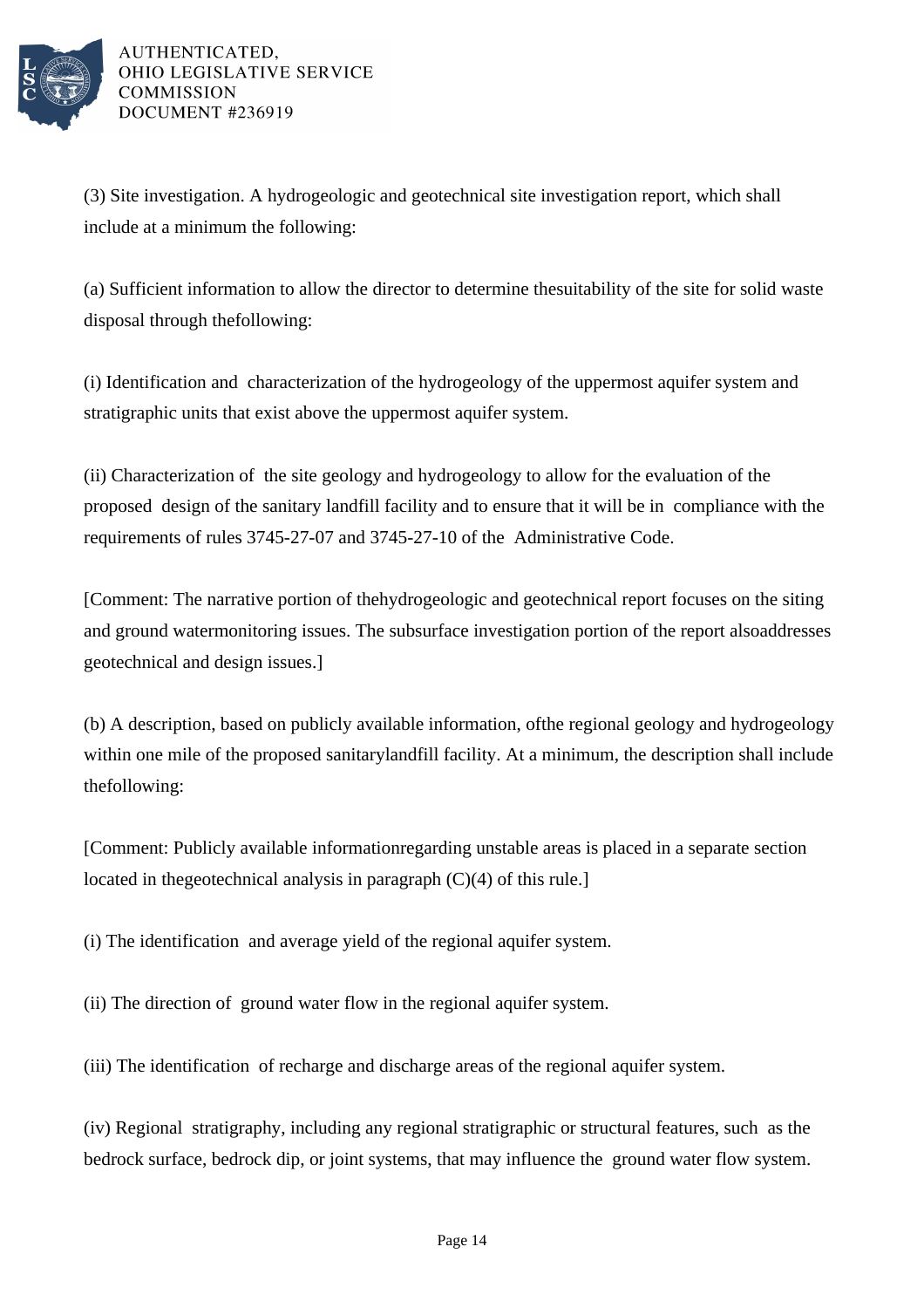

(3) Site investigation. A hydrogeologic and geotechnical site investigation report, which shall include at a minimum the following:

(a) Sufficient information to allow the director to determine the suitability of the site for solid waste disposal through the following:

(i) Identification and characterization of the hydrogeology of the uppermost aquifer system and stratigraphic units that exist above the uppermost aquifer system.

(ii) Characterization of the site geology and hydrogeology to allow for the evaluation of the proposed design of the sanitary landfill facility and to ensure that it will be in compliance with the requirements of rules 3745-27-07 and 3745-27-10 of the Administrative Code.

[Comment: The narrative portion of the hydrogeologic and geotechnical report focuses on the siting and ground water monitoring issues. The subsurface investigation portion of the report also addresses geotechnical and design issues.]

(b) A description, based on publicly available information, of the regional geology and hydrogeology within one mile of the proposed sanitary landfill facility. At a minimum, the description shall include the following:

[Comment: Publicly available information regarding unstable areas is placed in a separate section located in the geotechnical analysis in paragraph  $(C)(4)$  of this rule.]

(i) The identification and average yield of the regional aquifer system.

(ii) The direction of ground water flow in the regional aquifer system.

(iii) The identification of recharge and discharge areas of the regional aquifer system.

(iv) Regional stratigraphy, including any regional stratigraphic or structural features, such as the bedrock surface, bedrock dip, or joint systems, that may influence the ground water flow system.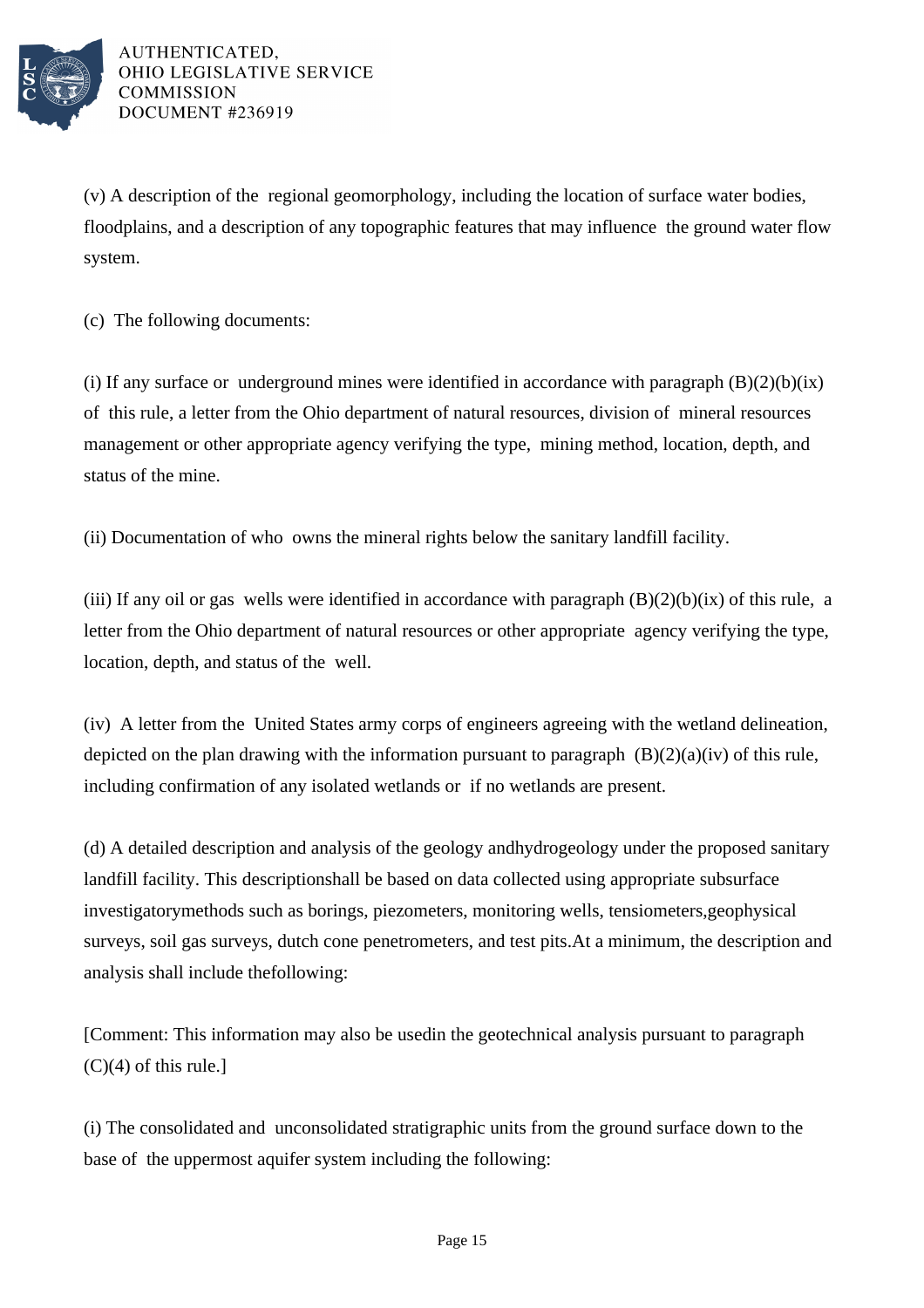

(v) A description of the regional geomorphology, including the location of surface water bodies, floodplains, and a description of any topographic features that may influence the ground water flow system.

(c) The following documents:

(i) If any surface or underground mines were identified in accordance with paragraph  $(B)(2)(b)(ix)$ of this rule, a letter from the Ohio department of natural resources, division of mineral resources management or other appropriate agency verifying the type, mining method, location, depth, and status of the mine.

(ii) Documentation of who owns the mineral rights below the sanitary landfill facility.

(iii) If any oil or gas wells were identified in accordance with paragraph  $(B)(2)(b)(ix)$  of this rule, a letter from the Ohio department of natural resources or other appropriate agency verifying the type, location, depth, and status of the well.

(iv) A letter from the United States army corps of engineers agreeing with the wetland delineation, depicted on the plan drawing with the information pursuant to paragraph  $(B)(2)(a)(iv)$  of this rule, including confirmation of any isolated wetlands or if no wetlands are present.

(d) A detailed description and analysis of the geology and hydrogeology under the proposed sanitary landfill facility. This description shall be based on data collected using appropriate subsurface investigatory methods such as borings, piezometers, monitoring wells, tensiometers, geophysical surveys, soil gas surveys, dutch cone penetrometers, and test pits. At a minimum, the description and analysis shall include the following:

[Comment: This information may also be used in the geotechnical analysis pursuant to paragraph  $(C)(4)$  of this rule.]

(i) The consolidated and unconsolidated stratigraphic units from the ground surface down to the base of the uppermost aquifer system including the following: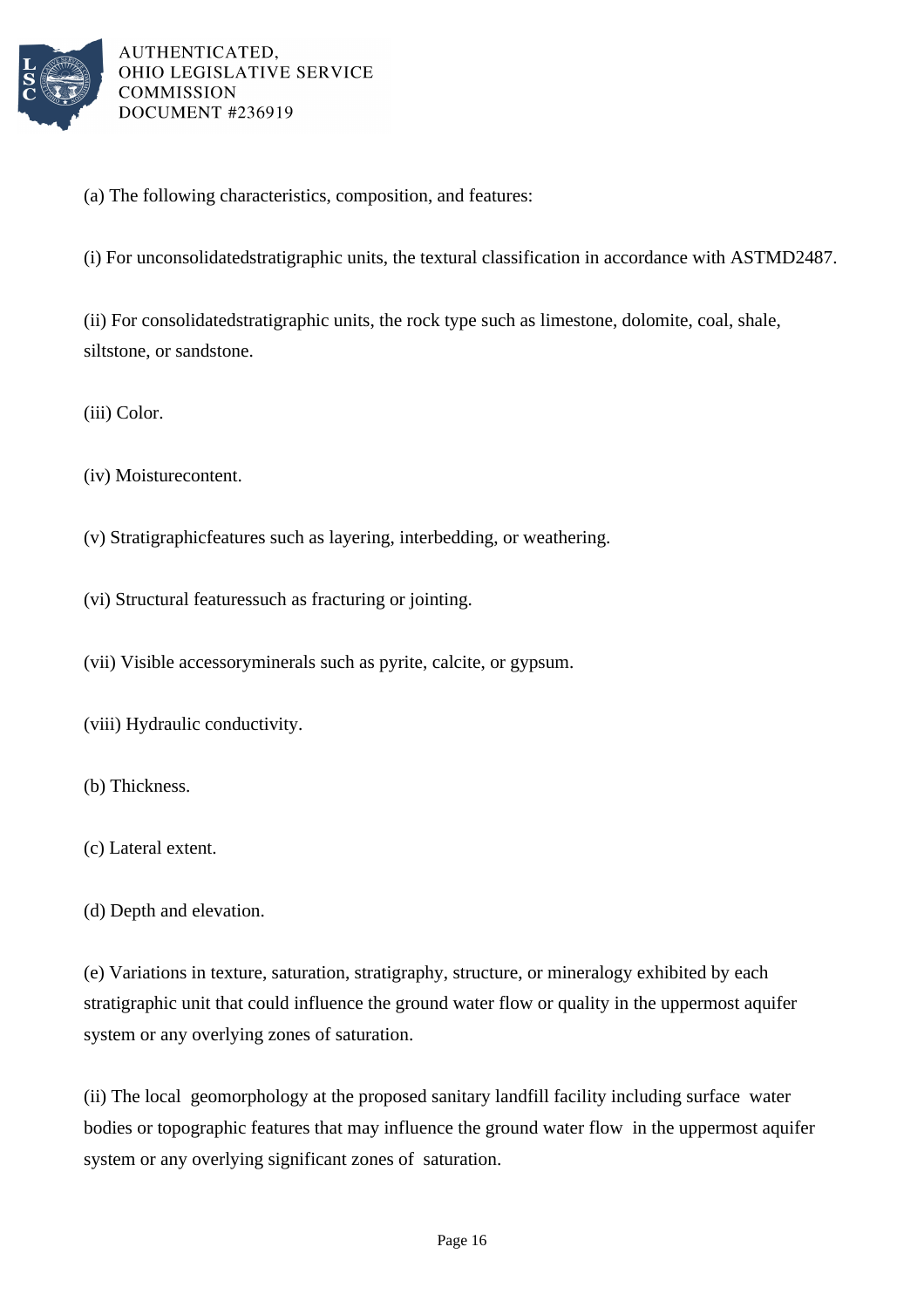

(a) The following characteristics, composition, and features:

(i) For unconsolidated stratigraphic units, the textural classification in accordance with ASTM D2487.

(ii) For consolidated stratigraphic units, the rock type such as limestone, dolomite, coal, shale, siltstone, or sandstone.

(iii) Color.

 $(iv)$  Moisture content.

(v) Stratigraphic features such as layering, interbedding, or weathering.

(vi) Structural features such as fracturing or jointing.

(vii) Visible accessory minerals such as pyrite, calcite, or gypsum.

(viii) Hydraulic conductivity.

(b) Thickness.

(c) Lateral extent.

(d) Depth and elevation.

(e) Variations in texture, saturation, stratigraphy, structure, or mineralogy exhibited by each stratigraphic unit that could influence the ground water flow or quality in the uppermost aquifer system or any overlying zones of saturation.

(ii) The local geomorphology at the proposed sanitary landfill facility including surface water bodies or topographic features that may influence the ground water flow in the uppermost aquifer system or any overlying significant zones of saturation.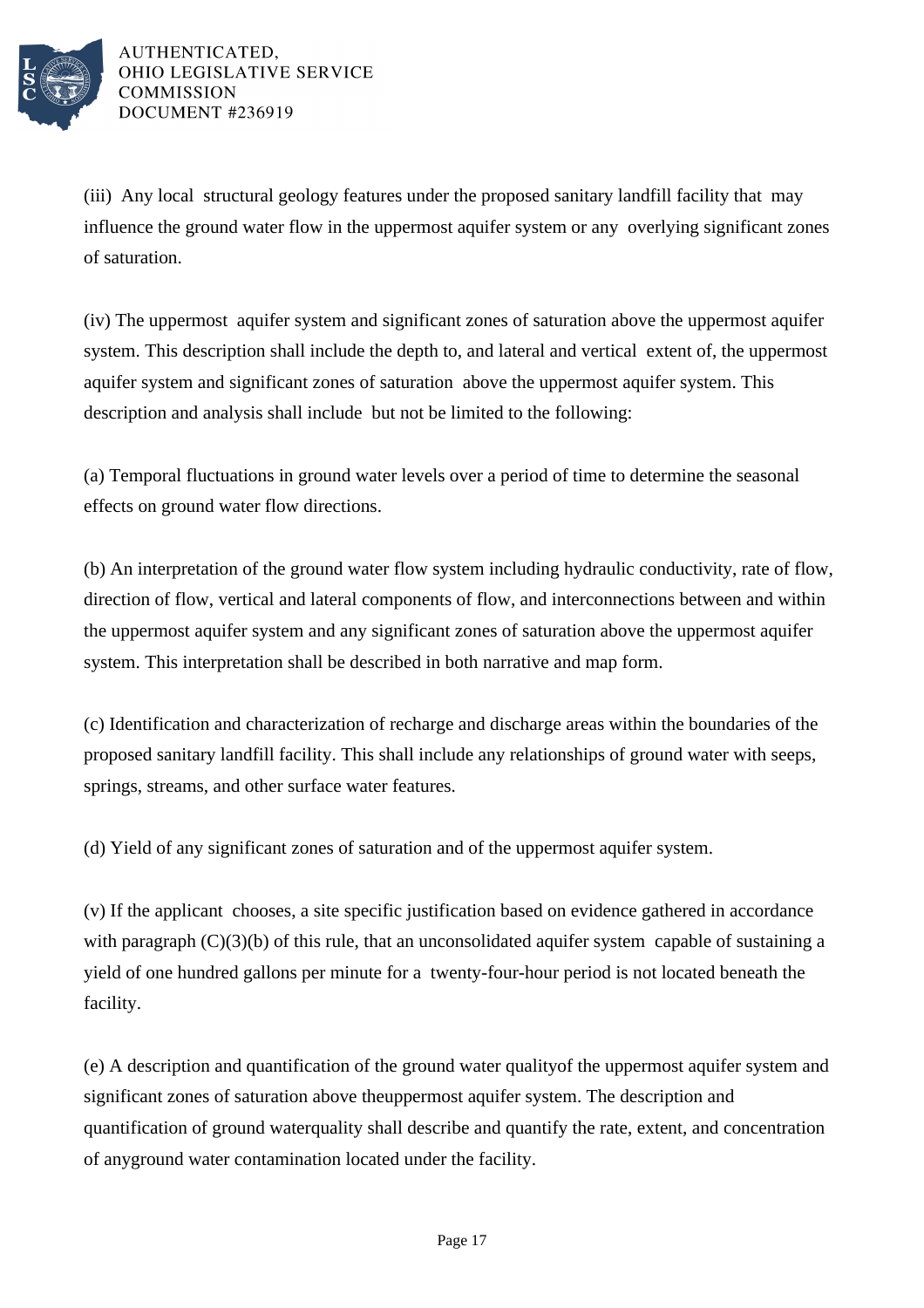

(iii) Any local structural geology features under the proposed sanitary landfill facility that may influence the ground water flow in the uppermost aquifer system or any overlying significant zones of saturation.

(iv) The uppermost aquifer system and significant zones of saturation above the uppermost aquifer system. This description shall include the depth to, and lateral and vertical extent of, the uppermost aquifer system and significant zones of saturation above the uppermost aquifer system. This description and analysis shall include but not be limited to the following:

(a) Temporal fluctuations in ground water levels over a period of time to determine the seasonal effects on ground water flow directions.

(b) An interpretation of the ground water flow system including hydraulic conductivity, rate of flow, direction of flow, vertical and lateral components of flow, and interconnections between and within the uppermost aquifer system and any significant zones of saturation above the uppermost aquifer system. This interpretation shall be described in both narrative and map form.

(c) Identification and characterization of recharge and discharge areas within the boundaries of the proposed sanitary landfill facility. This shall include any relationships of ground water with seeps, springs, streams, and other surface water features.

(d) Yield of any significant zones of saturation and of the uppermost aquifer system.

(v) If the applicant chooses, a site specific justification based on evidence gathered in accordance with paragraph  $(C)(3)(b)$  of this rule, that an unconsolidated aquifer system capable of sustaining a yield of one hundred gallons per minute for a twenty-four-hour period is not located beneath the facility.

(e) A description and quantification of the ground water quality of the uppermost aquifer system and significant zones of saturation above the uppermost aquifer system. The description and quantification of ground water quality shall describe and quantify the rate, extent, and concentration of any ground water contamination located under the facility.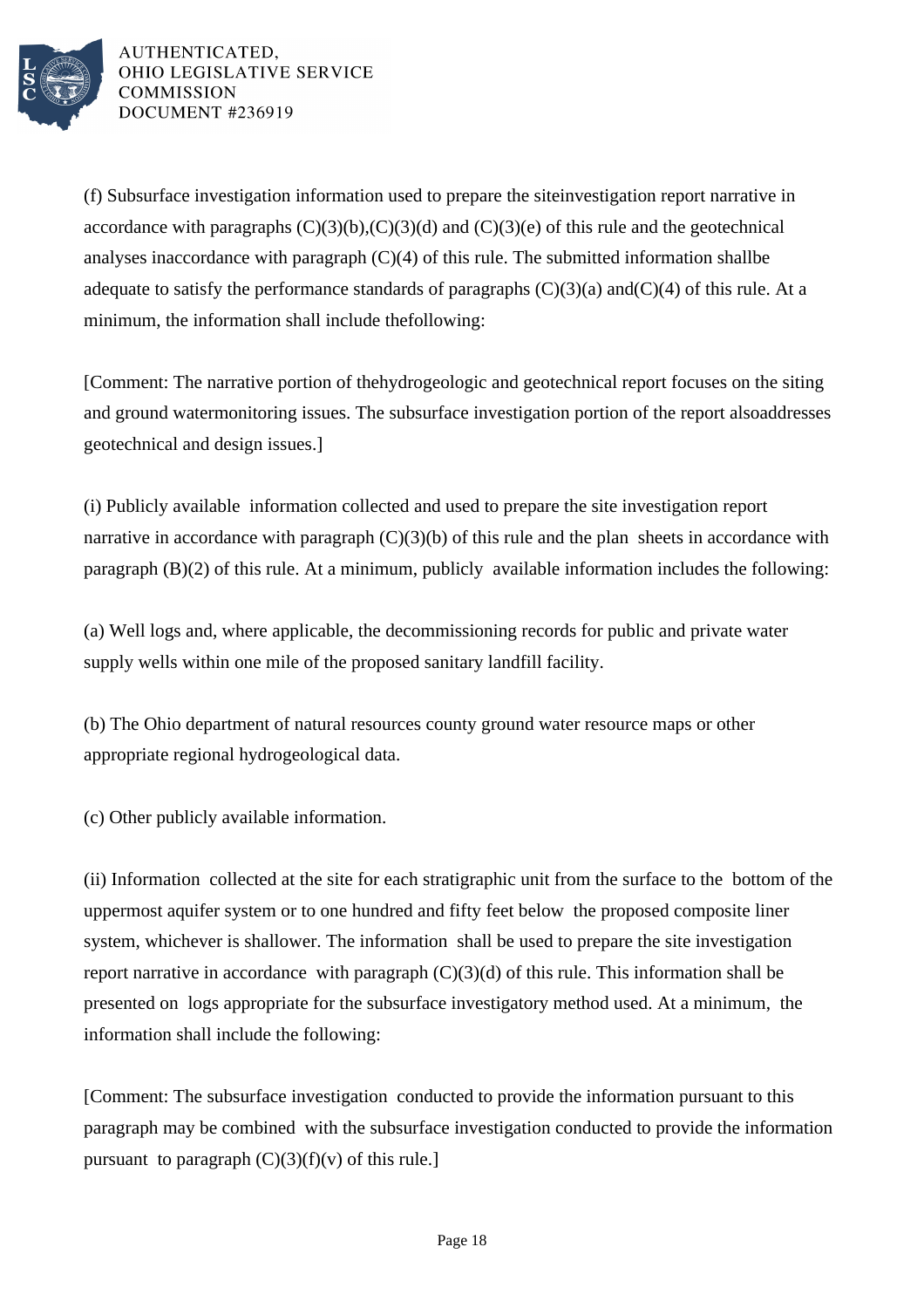

(f) Subsurface investigation information used to prepare the site investigation report narrative in accordance with paragraphs  $(C)(3)(b)$ ,  $(C)(3)(d)$  and  $(C)(3)(e)$  of this rule and the geotechnical analyses in accordance with paragraph  $(C)(4)$  of this rule. The submitted information shall be adequate to satisfy the performance standards of paragraphs  $(C)(3)(a)$  and  $(C)(4)$  of this rule. At a minimum, the information shall include the following:

[Comment: The narrative portion of the hydrogeologic and geotechnical report focuses on the siting and ground water monitoring issues. The subsurface investigation portion of the report also addresses geotechnical and design issues.]

(i) Publicly available information collected and used to prepare the site investigation report narrative in accordance with paragraph  $(C)(3)(b)$  of this rule and the plan sheets in accordance with paragraph  $(B)(2)$  of this rule. At a minimum, publicly available information includes the following:

(a) Well logs and, where applicable, the decommissioning records for public and private water supply wells within one mile of the proposed sanitary landfill facility.

(b) The Ohio department of natural resources county ground water resource maps or other appropriate regional hydrogeological data.

(c) Other publicly available information.

(ii) Information collected at the site for each stratigraphic unit from the surface to the bottom of the uppermost aquifer system or to one hundred and fifty feet below the proposed composite liner system, whichever is shallower. The information shall be used to prepare the site investigation report narrative in accordance with paragraph  $(C)(3)(d)$  of this rule. This information shall be presented on logs appropriate for the subsurface investigatory method used. At a minimum, the information shall include the following:

[Comment: The subsurface investigation conducted to provide the information pursuant to this paragraph may be combined with the subsurface investigation conducted to provide the information pursuant to paragraph  $(C)(3)(f)(v)$  of this rule.]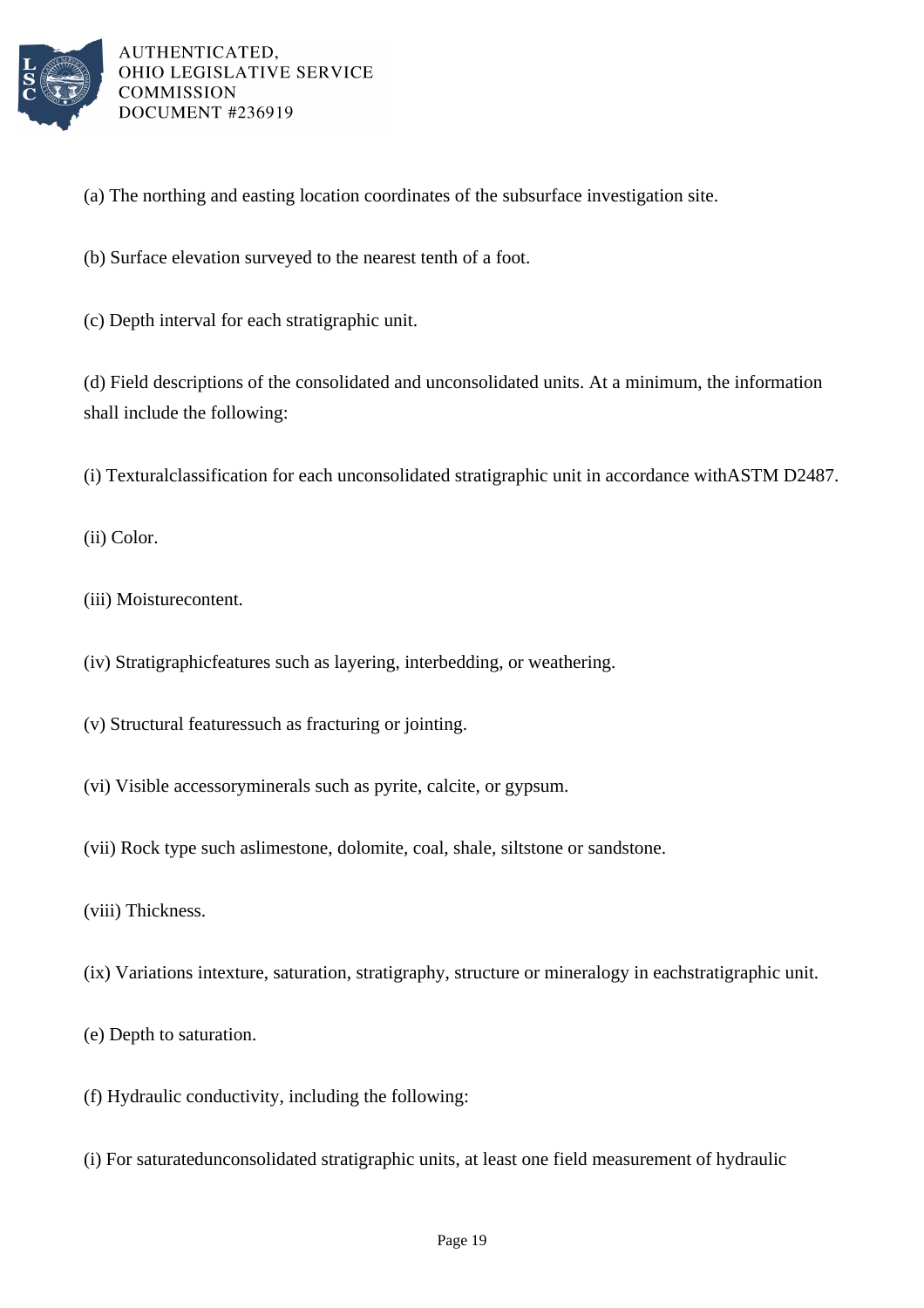

- (a) The northing and easting location coordinates of the subsurface investigation site.
- (b) Surface elevation surveyed to the nearest tenth of a foot.
- (c) Depth interval for each stratigraphic unit.

(d) Field descriptions of the consolidated and unconsolidated units. At a minimum, the information shall include the following:

(i) Textural classification for each unconsolidated stratigraphic unit in accordance with ASTM D2487.

(ii) Color.

- (iii) Moisture content.
- (iv) Stratigraphic features such as layering, interbedding, or weathering.
- $(v)$  Structural features such as fracturing or jointing.
- (vi) Visible accessory minerals such as pyrite, calcite, or gypsum.
- (vii) Rock type such as limestone, dolomite, coal, shale, siltstone or sandstone.
- (viii) Thickness.
- (ix) Variations in texture, saturation, stratigraphy, structure or mineralogy in each stratigraphic unit.
- (e) Depth to saturation.
- $(f)$  Hydraulic conductivity, including the following:
- (i) For saturated unconsolidated stratigraphic units, at least one field measurement of hydraulic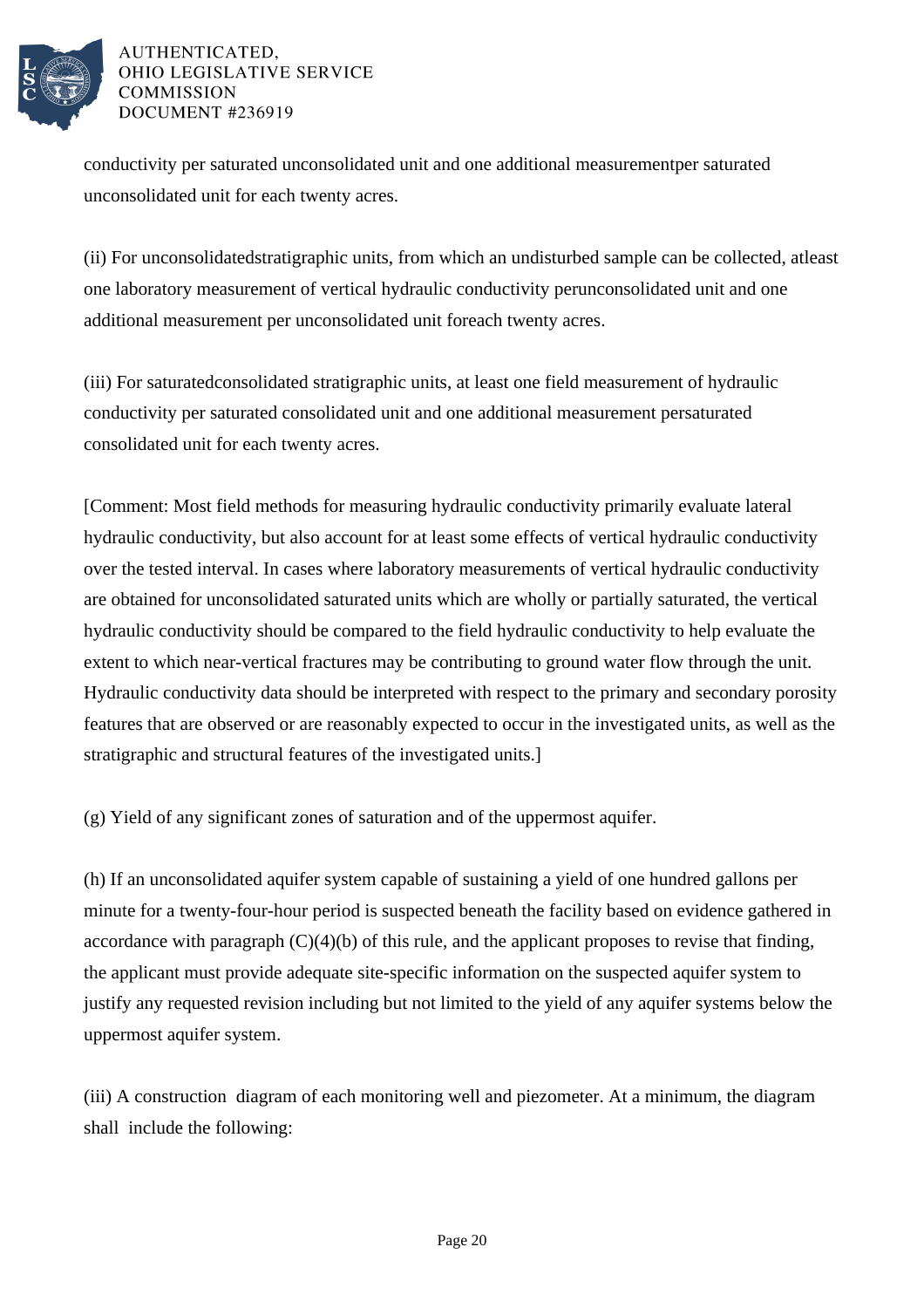

conductivity per saturated unconsolidated unit and one additional measurement per saturated unconsolidated unit for each twenty acres.

(ii) For unconsolidated stratigraphic units, from which an undisturbed sample can be collected, at least one laboratory measurement of vertical hydraulic conductivity per unconsolidated unit and one additional measurement per unconsolidated unit for each twenty acres.

(iii) For saturated consolidated stratigraphic units, at least one field measurement of hydraulic conductivity per saturated consolidated unit and one additional measurement per saturated consolidated unit for each twenty acres.

[Comment: Most field methods for measuring hydraulic conductivity primarily evaluate lateral hydraulic conductivity, but also account for at least some effects of vertical hydraulic conductivity over the tested interval. In cases where laboratory measurements of vertical hydraulic conductivity are obtained for unconsolidated saturated units which are wholly or partially saturated, the vertical hydraulic conductivity should be compared to the field hydraulic conductivity to help evaluate the extent to which near-vertical fractures may be contributing to ground water flow through the unit. Hydraulic conductivity data should be interpreted with respect to the primary and secondary porosity features that are observed or are reasonably expected to occur in the investigated units, as well as the stratigraphic and structural features of the investigated units.]

(g) Yield of any significant zones of saturation and of the uppermost aquifer.

(h) If an unconsolidated aquifer system capable of sustaining a yield of one hundred gallons per minute for a twenty-four-hour period is suspected beneath the facility based on evidence gathered in accordance with paragraph  $(C)(4)(b)$  of this rule, and the applicant proposes to revise that finding, the applicant must provide adequate site-specific information on the suspected aquifer system to justify any requested revision including but not limited to the yield of any aquifer systems below the uppermost aquifer system.

(iii) A construction diagram of each monitoring well and piezometer. At a minimum, the diagram shall include the following: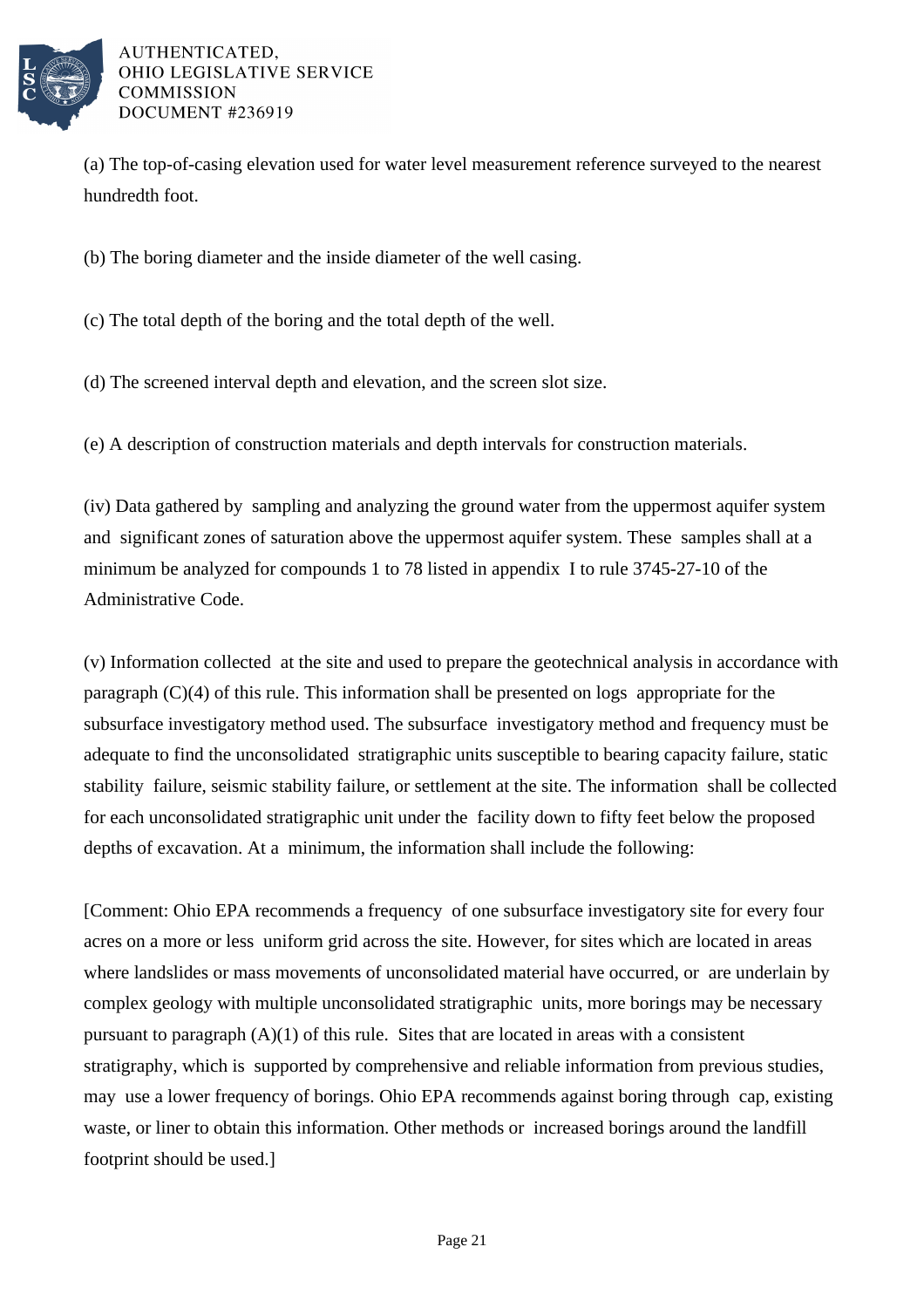

(a) The top-of-casing elevation used for water level measurement reference surveyed to the nearest hundredth foot.

(b) The boring diameter and the inside diameter of the well casing.

(c) The total depth of the boring and the total depth of the well.

(d) The screened interval depth and elevation, and the screen slot size.

(e) A description of construction materials and depth intervals for construction materials.

(iv) Data gathered by sampling and analyzing the ground water from the uppermost aquifer system and significant zones of saturation above the uppermost aquifer system. These samples shall at a minimum be analyzed for compounds 1 to 78 listed in appendix I to rule 3745-27-10 of the Administrative Code.

(v) Information collected at the site and used to prepare the geotechnical analysis in accordance with paragraph  $(C)(4)$  of this rule. This information shall be presented on logs appropriate for the subsurface investigatory method used. The subsurface investigatory method and frequency must be adequate to find the unconsolidated stratigraphic units susceptible to bearing capacity failure, static stability failure, seismic stability failure, or settlement at the site. The information shall be collected for each unconsolidated stratigraphic unit under the facility down to fifty feet below the proposed depths of excavation. At a minimum, the information shall include the following:

[Comment: Ohio EPA recommends a frequency of one subsurface investigatory site for every four acres on a more or less uniform grid across the site. However, for sites which are located in areas where landslides or mass movements of unconsolidated material have occurred, or are underlain by complex geology with multiple unconsolidated stratigraphic units, more borings may be necessary pursuant to paragraph  $(A)(1)$  of this rule. Sites that are located in areas with a consistent stratigraphy, which is supported by comprehensive and reliable information from previous studies, may use a lower frequency of borings. Ohio EPA recommends against boring through cap, existing waste, or liner to obtain this information. Other methods or increased borings around the landfill footprint should be used.]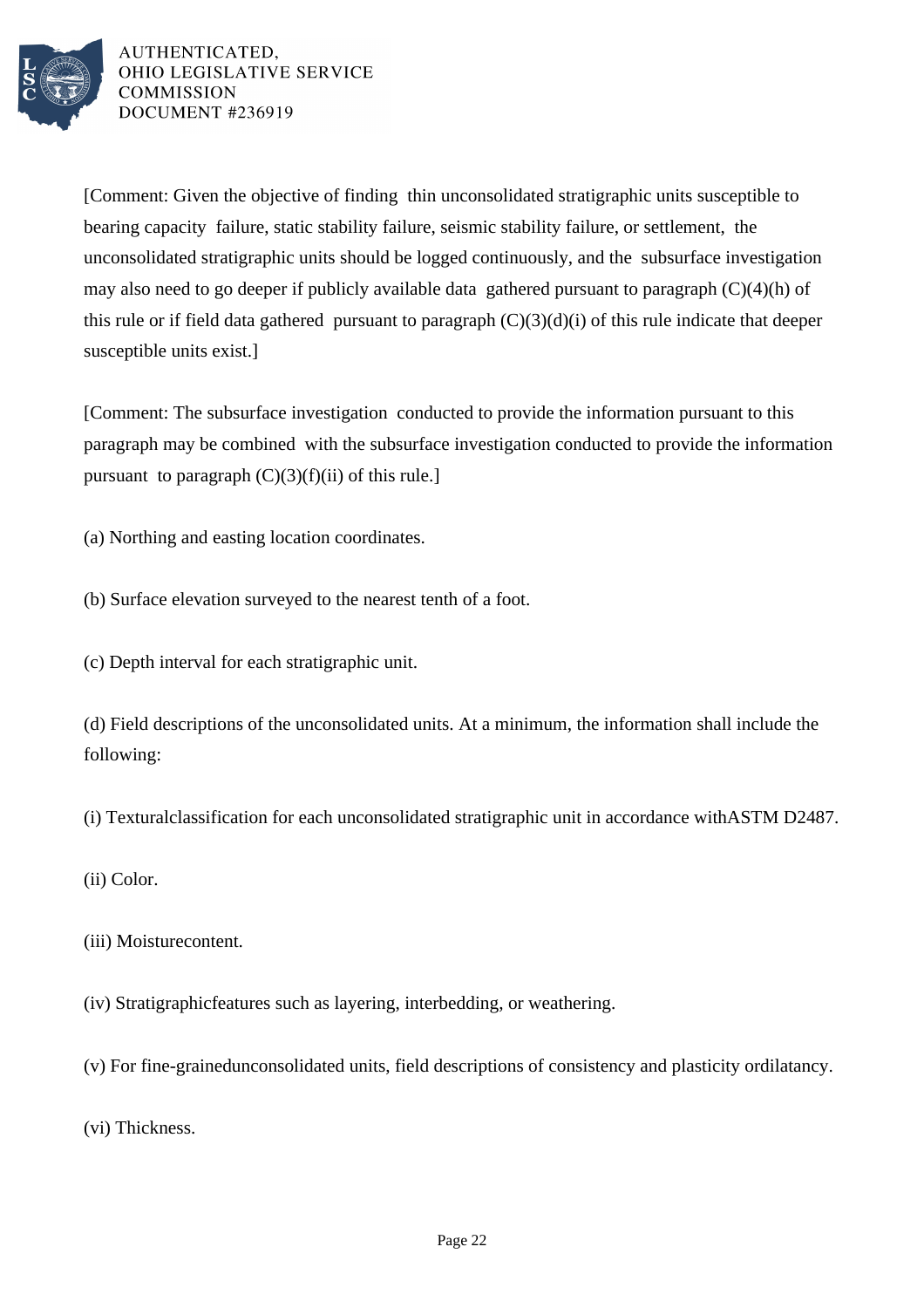

[Comment: Given the objective of finding thin unconsolidated stratigraphic units susceptible to bearing capacity failure, static stability failure, seismic stability failure, or settlement, the unconsolidated stratigraphic units should be logged continuously, and the subsurface investigation may also need to go deeper if publicly available data gathered pursuant to paragraph  $(C)(4)(h)$  of this rule or if field data gathered pursuant to paragraph  $(C)(3)(d)(i)$  of this rule indicate that deeper susceptible units exist.]

[Comment: The subsurface investigation conducted to provide the information pursuant to this paragraph may be combined with the subsurface investigation conducted to provide the information pursuant to paragraph  $(C)(3)(f)(ii)$  of this rule.]

(a) Northing and easting location coordinates.

(b) Surface elevation surveyed to the nearest tenth of a foot.

(c) Depth interval for each stratigraphic unit.

(d) Field descriptions of the unconsolidated units. At a minimum, the information shall include the following:

(i) Textural classification for each unconsolidated stratigraphic unit in accordance with ASTM D2487.

- (ii) Color.
- (iii) Moisture content.
- (iv) Stratigraphic features such as layering, interbedding, or weathering.
- (v) For fine-grained unconsolidated units, field descriptions of consistency and plasticity or dilatancy.

(vi) Thickness.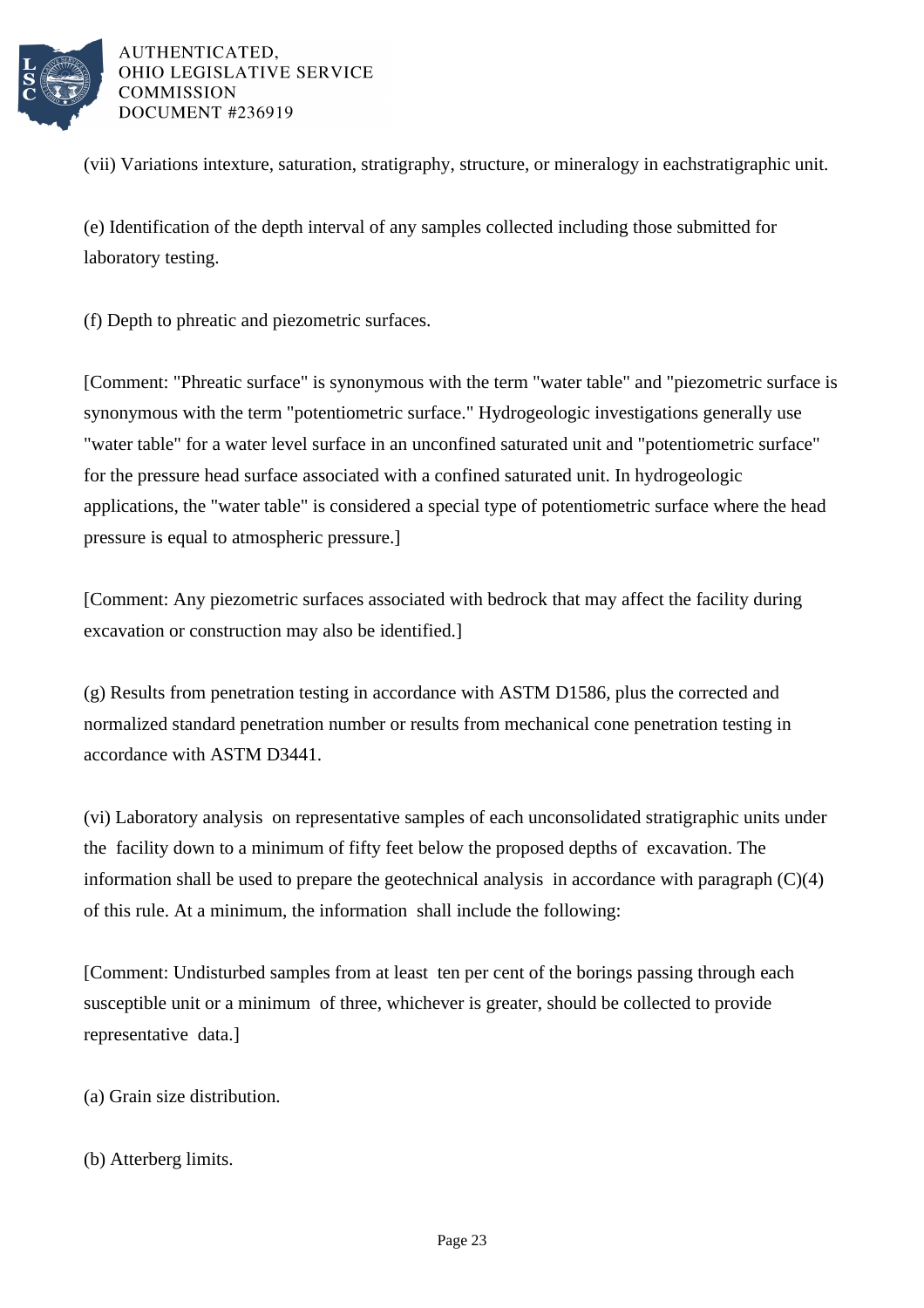

(vii) Variations in texture, saturation, stratigraphy, structure, or mineralogy in each stratigraphic unit.

(e) Identification of the depth interval of any samples collected including those submitted for laboratory testing.

(f) Depth to phreatic and piezometric surfaces.

[Comment: "Phreatic surface" is synonymous with the term "water table" and "piezometric surface is synonymous with the term "potentiometric surface." Hydrogeologic investigations generally use "water table" for a water level surface in an unconfined saturated unit and "potentiometric surface" for the pressure head surface associated with a confined saturated unit. In hydrogeologic applications, the "water table" is considered a special type of potentiometric surface where the head pressure is equal to atmospheric pressure.]

[Comment: Any piezometric surfaces associated with bedrock that may affect the facility during excavation or construction may also be identified.]

(g) Results from penetration testing in accordance with ASTM D1586, plus the corrected and normalized standard penetration number or results from mechanical cone penetration testing in accordance with ASTM D3441.

(vi) Laboratory analysis on representative samples of each unconsolidated stratigraphic units under the facility down to a minimum of fifty feet below the proposed depths of excavation. The information shall be used to prepare the geotechnical analysis in accordance with paragraph  $(C)(4)$ of this rule. At a minimum, the information shall include the following:

[Comment: Undisturbed samples from at least ten per cent of the borings passing through each susceptible unit or a minimum of three, whichever is greater, should be collected to provide representative data.]

(a) Grain size distribution.

(b) Atterberg limits.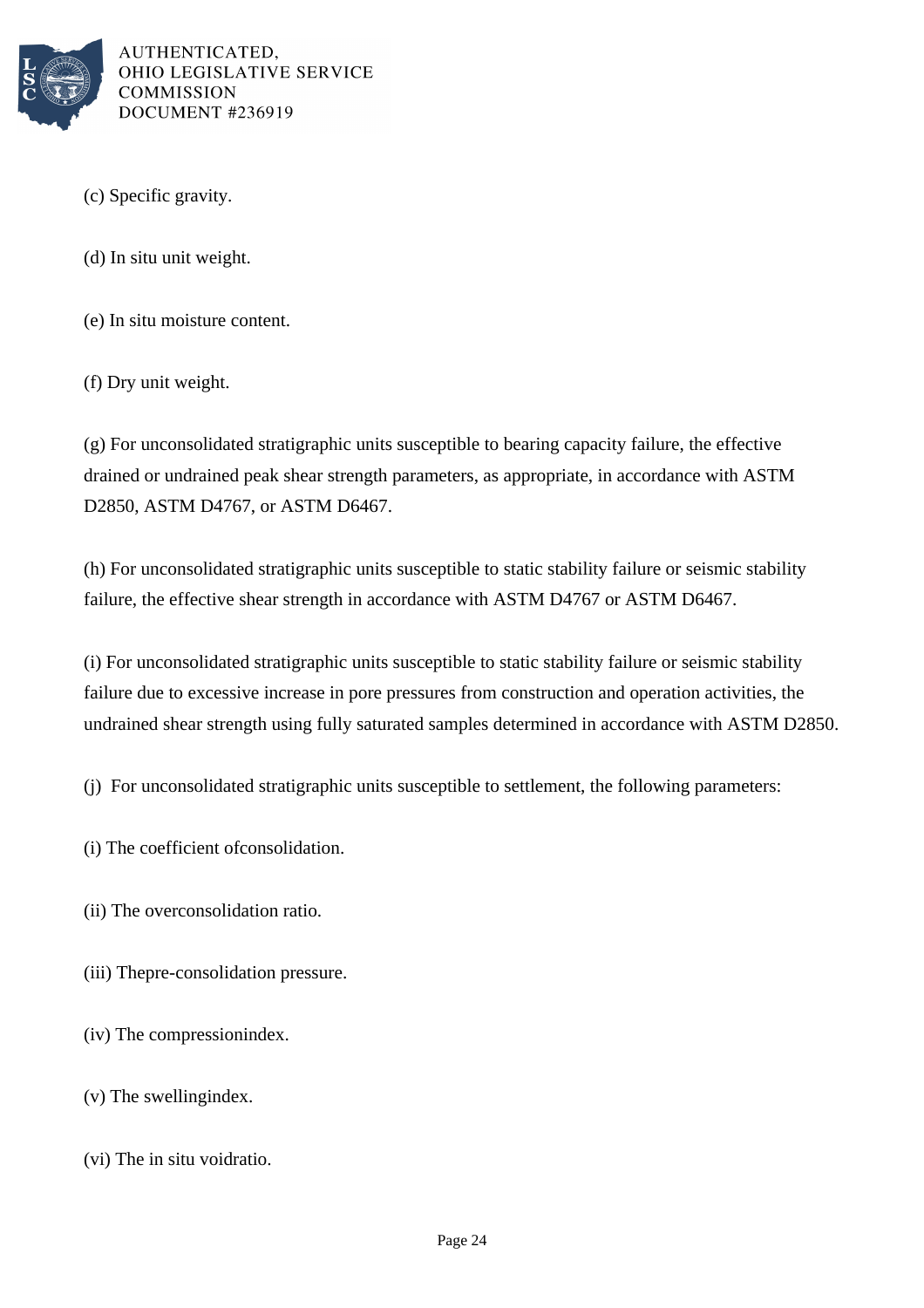

(c) Specific gravity.

 $(d)$  In situ unit weight.

(e) In situ moisture content.

(f) Dry unit weight.

 $(g)$  For unconsolidated stratigraphic units susceptible to bearing capacity failure, the effective drained or undrained peak shear strength parameters, as appropriate, in accordance with ASTM D2850, ASTM D4767, or ASTM D6467.

(h) For unconsolidated stratigraphic units susceptible to static stability failure or seismic stability failure, the effective shear strength in accordance with ASTM D4767 or ASTM D6467.

(i) For unconsolidated stratigraphic units susceptible to static stability failure or seismic stability failure due to excessive increase in pore pressures from construction and operation activities, the undrained shear strength using fully saturated samples determined in accordance with ASTM D2850.

(i) For unconsolidated stratigraphic units susceptible to settlement, the following parameters:

- $(i)$  The coefficient of consolidation.
- (ii) The over consolidation ratio.
- (iii) The pre-consolidation pressure.

 $(iv)$  The compression index.

- $(v)$  The swelling index.
- $(vi)$  The in situ void ratio.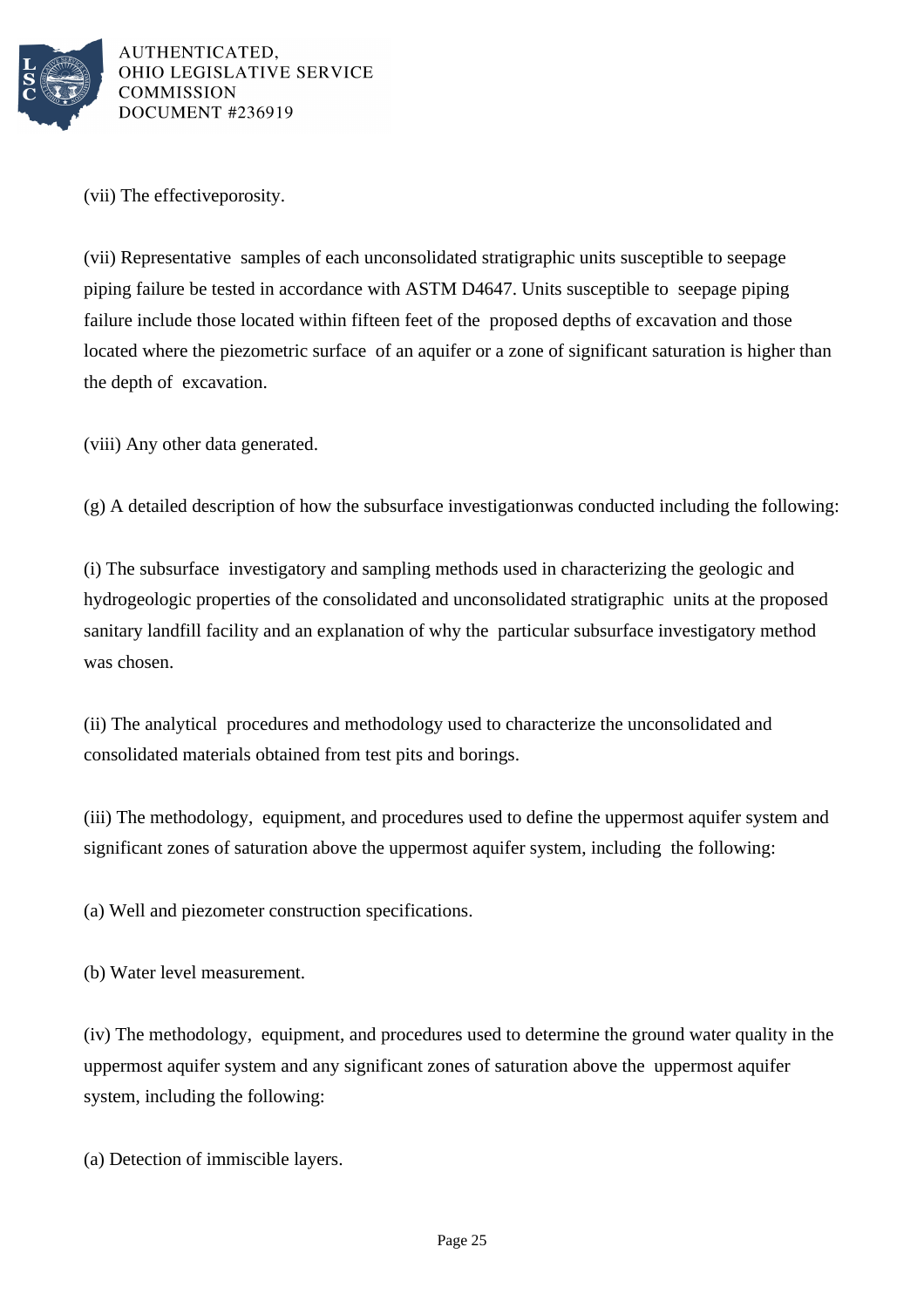

(vii) The effective porosity.

(vii) Representative samples of each unconsolidated stratigraphic units susceptible to seepage piping failure be tested in accordance with ASTM D4647. Units susceptible to seepage piping failure include those located within fifteen feet of the proposed depths of excavation and those located where the piezometric surface of an aquifer or a zone of significant saturation is higher than the depth of excavation.

(viii) Any other data generated.

 $(g)$  A detailed description of how the subsurface investigation was conducted including the following:

(i) The subsurface investigatory and sampling methods used in characterizing the geologic and hydrogeologic properties of the consolidated and unconsolidated stratigraphic units at the proposed sanitary landfill facility and an explanation of why the particular subsurface investigatory method was chosen.

(ii) The analytical procedures and methodology used to characterize the unconsolidated and consolidated materials obtained from test pits and borings.

(iii) The methodology, equipment, and procedures used to define the uppermost aquifer system and significant zones of saturation above the uppermost aquifer system, including the following:

(a) Well and piezometer construction specifications.

(b) Water level measurement.

(iv) The methodology, equipment, and procedures used to determine the ground water quality in the uppermost aquifer system and any significant zones of saturation above the uppermost aquifer system, including the following:

(a) Detection of immiscible layers.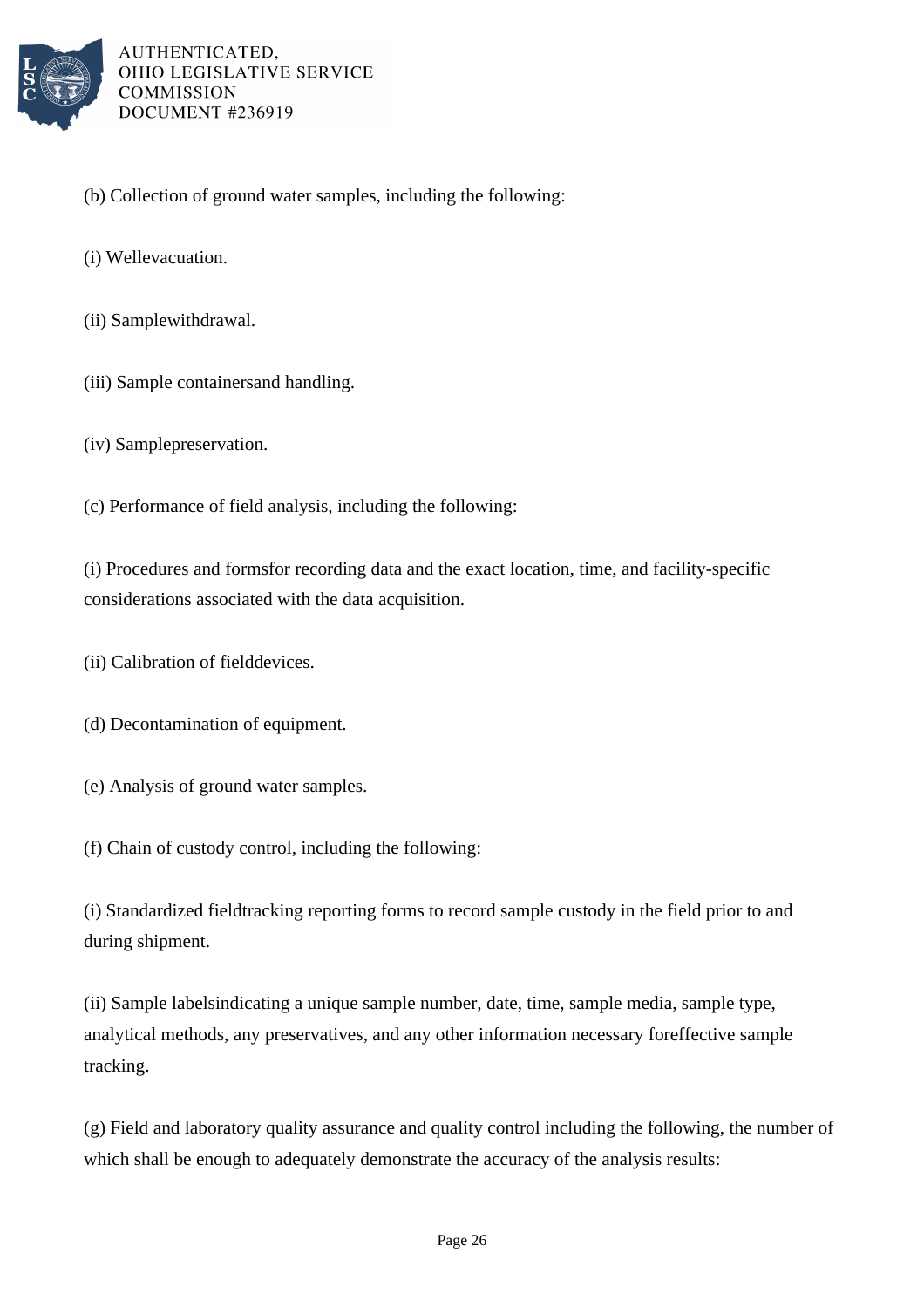

- (b) Collection of ground water samples, including the following:
- (i) Well evacuation.
- (ii) Sample withdrawal.
- (iii) Sample containers and handling.
- (iv) Sample preservation.
- (c) Performance of field analysis, including the following:

(i) Procedures and forms for recording data and the exact location, time, and facility-specific considerations associated with the data acquisition.

- (ii) Calibration of field devices.
- (d) Decontamination of equipment.
- (e) Analysis of ground water samples.
- (f) Chain of custody control, including the following:

(i) Standardized field tracking reporting forms to record sample custody in the field prior to and during shipment.

(ii) Sample labels indicating a unique sample number, date, time, sample media, sample type, analytical methods, any preservatives, and any other information necessary for effective sample tracking.

(g) Field and laboratory quality assurance and quality control including the following, the number of which shall be enough to adequately demonstrate the accuracy of the analysis results: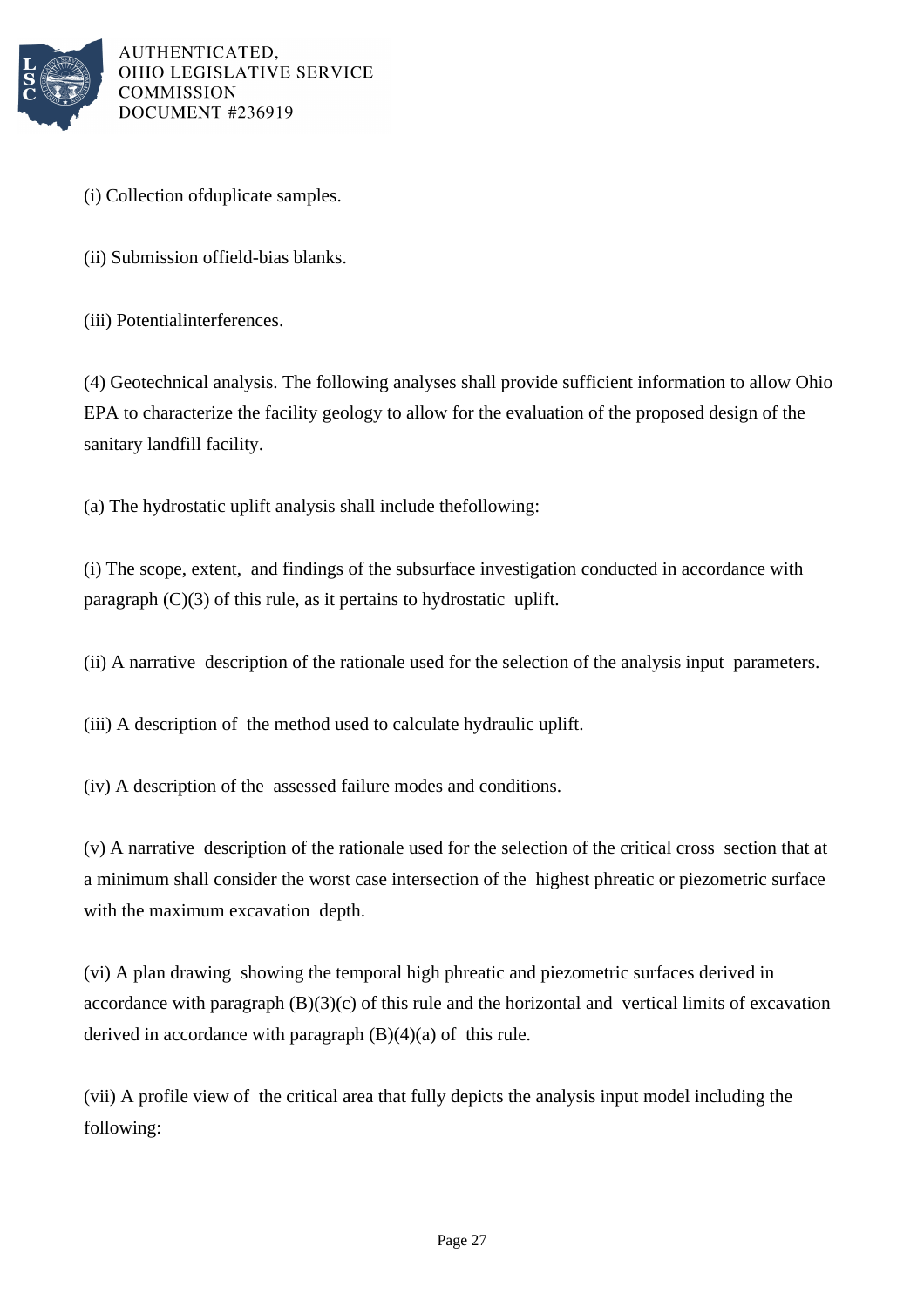

- (i) Collection of duplicate samples.
- (ii) Submission of field-bias blanks.
- (iii) Potential interferences.

(4) Geotechnical analysis. The following analyses shall provide sufficient information to allow Ohio EPA to characterize the facility geology to allow for the evaluation of the proposed design of the sanitary landfill facility.

(a) The hydrostatic uplift analysis shall include the following:

(i) The scope, extent, and findings of the subsurface investigation conducted in accordance with paragraph  $(C)(3)$  of this rule, as it pertains to hydrostatic uplift.

(ii) A narrative description of the rationale used for the selection of the analysis input parameters.

(iii) A description of the method used to calculate hydraulic uplift.

(iv) A description of the assessed failure modes and conditions.

(v) A narrative description of the rationale used for the selection of the critical cross section that at a minimum shall consider the worst case intersection of the highest phreatic or piezometric surface with the maximum excavation depth.

(vi) A plan drawing showing the temporal high phreatic and piezometric surfaces derived in accordance with paragraph  $(B)(3)(c)$  of this rule and the horizontal and vertical limits of excavation derived in accordance with paragraph  $(B)(4)(a)$  of this rule.

(vii) A profile view of the critical area that fully depicts the analysis input model including the following: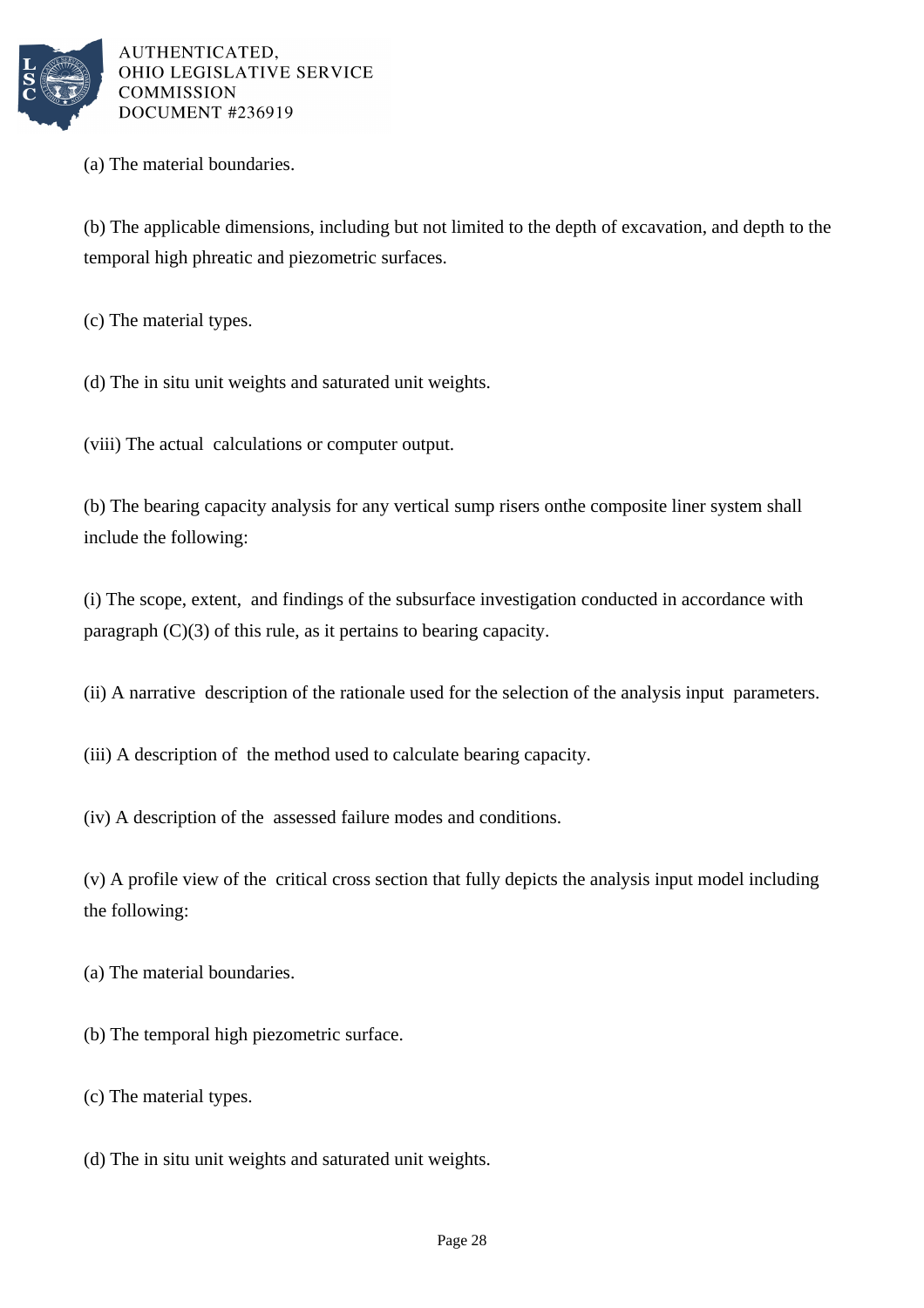

(a) The material boundaries.

(b) The applicable dimensions, including but not limited to the depth of excavation, and depth to the temporal high phreatic and piezometric surfaces.

(c) The material types.

(d) The in situ unit weights and saturated unit weights.

(viii) The actual calculations or computer output.

(b) The bearing capacity analysis for any vertical sump risers on the composite liner system shall include the following:

(i) The scope, extent, and findings of the subsurface investigation conducted in accordance with paragraph  $(C)(3)$  of this rule, as it pertains to bearing capacity.

(ii) A narrative description of the rationale used for the selection of the analysis input parameters.

(iii) A description of the method used to calculate bearing capacity.

(iv) A description of the assessed failure modes and conditions.

(v) A profile view of the critical cross section that fully depicts the analysis input model including the following:

(a) The material boundaries.

(b) The temporal high piezometric surface.

(c) The material types.

(d) The in situ unit weights and saturated unit weights.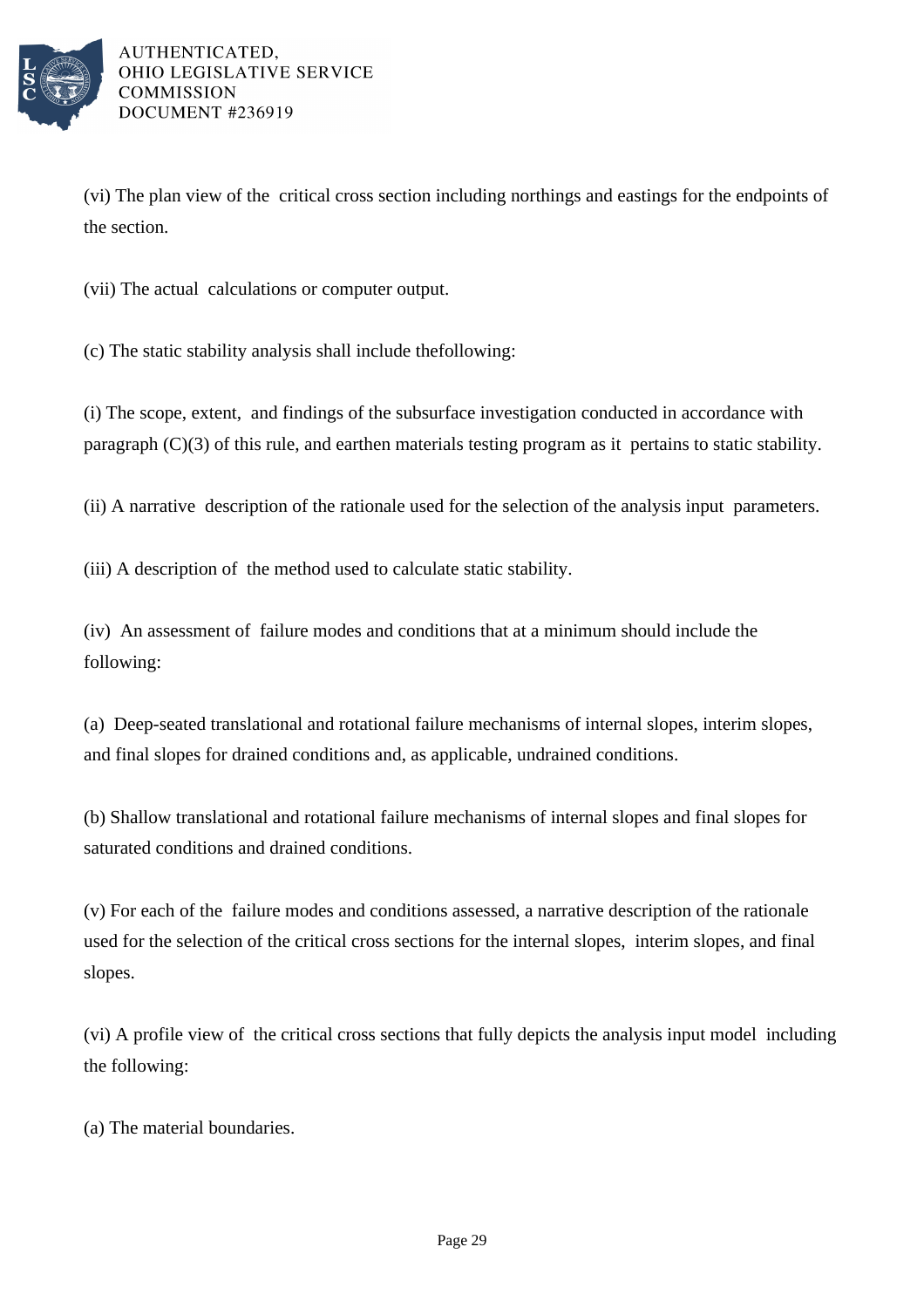

(vi) The plan view of the critical cross section including northings and eastings for the endpoints of the section.

(vii) The actual calculations or computer output.

(c) The static stability analysis shall include the following:

(i) The scope, extent, and findings of the subsurface investigation conducted in accordance with paragraph  $(C)(3)$  of this rule, and earthen materials testing program as it pertains to static stability.

(ii) A narrative description of the rationale used for the selection of the analysis input parameters.

(iii) A description of the method used to calculate static stability.

(iv) An assessment of failure modes and conditions that at a minimum should include the following:

(a) Deep-seated translational and rotational failure mechanisms of internal slopes, interim slopes, and final slopes for drained conditions and, as applicable, undrained conditions.

(b) Shallow translational and rotational failure mechanisms of internal slopes and final slopes for saturated conditions and drained conditions.

 $(v)$  For each of the failure modes and conditions assessed, a narrative description of the rationale used for the selection of the critical cross sections for the internal slopes, interim slopes, and final slopes.

(vi) A profile view of the critical cross sections that fully depicts the analysis input model including the following:

(a) The material boundaries.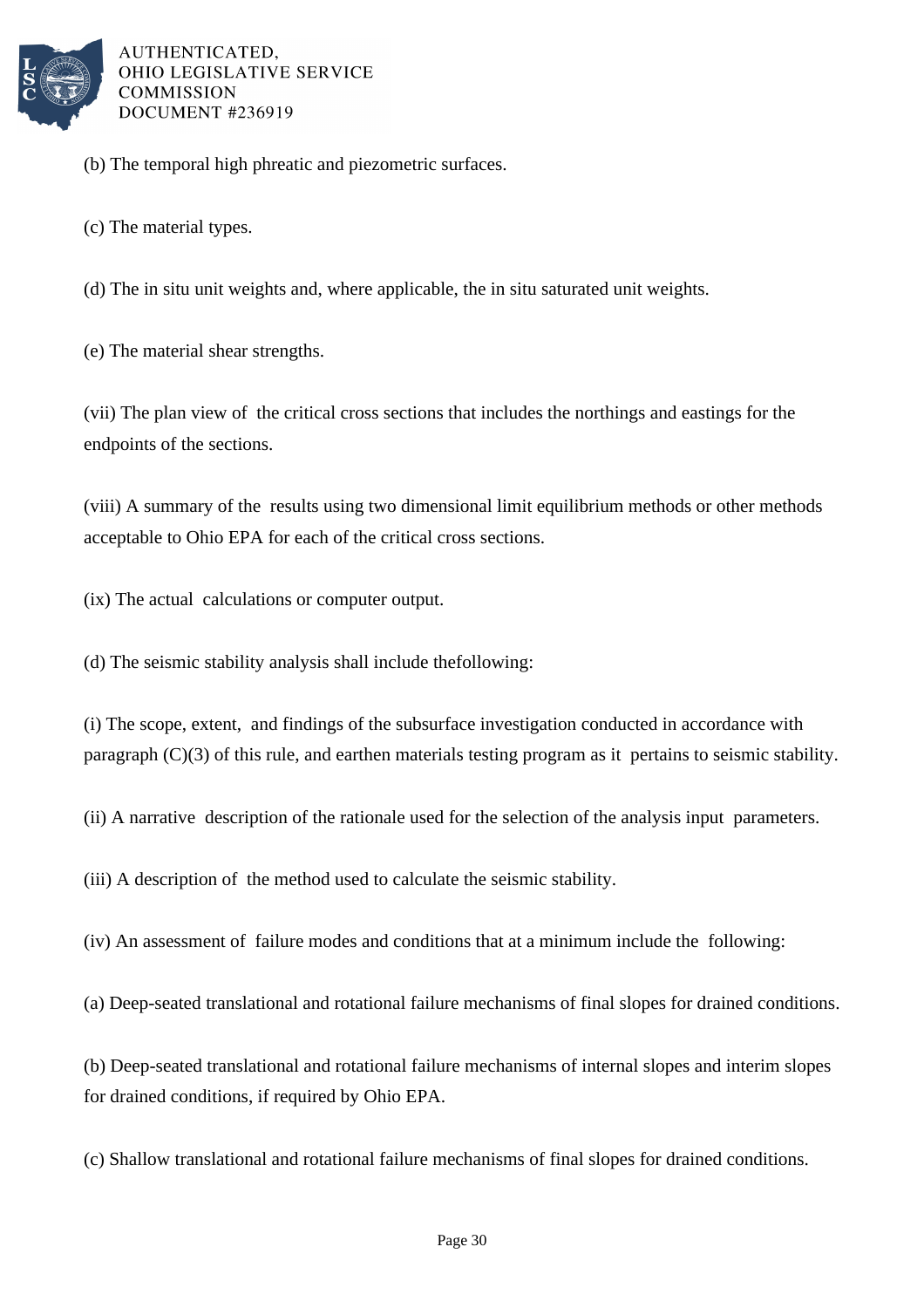

(b) The temporal high phreatic and piezometric surfaces.

(c) The material types.

(d) The in situ unit weights and, where applicable, the in situ saturated unit weights.

(e) The material shear strengths.

(vii) The plan view of the critical cross sections that includes the northings and eastings for the endpoints of the sections.

(viii) A summary of the results using two dimensional limit equilibrium methods or other methods acceptable to Ohio EPA for each of the critical cross sections.

(ix) The actual calculations or computer output.

(d) The seismic stability analysis shall include the following:

(i) The scope, extent, and findings of the subsurface investigation conducted in accordance with paragraph  $(C)(3)$  of this rule, and earthen materials testing program as it pertains to seismic stability.

(ii) A narrative description of the rationale used for the selection of the analysis input parameters.

(iii) A description of the method used to calculate the seismic stability.

(iv) An assessment of failure modes and conditions that at a minimum include the following:

(a) Deep-seated translational and rotational failure mechanisms of final slopes for drained conditions.

(b) Deep-seated translational and rotational failure mechanisms of internal slopes and interim slopes for drained conditions, if required by Ohio EPA.

(c) Shallow translational and rotational failure mechanisms of final slopes for drained conditions.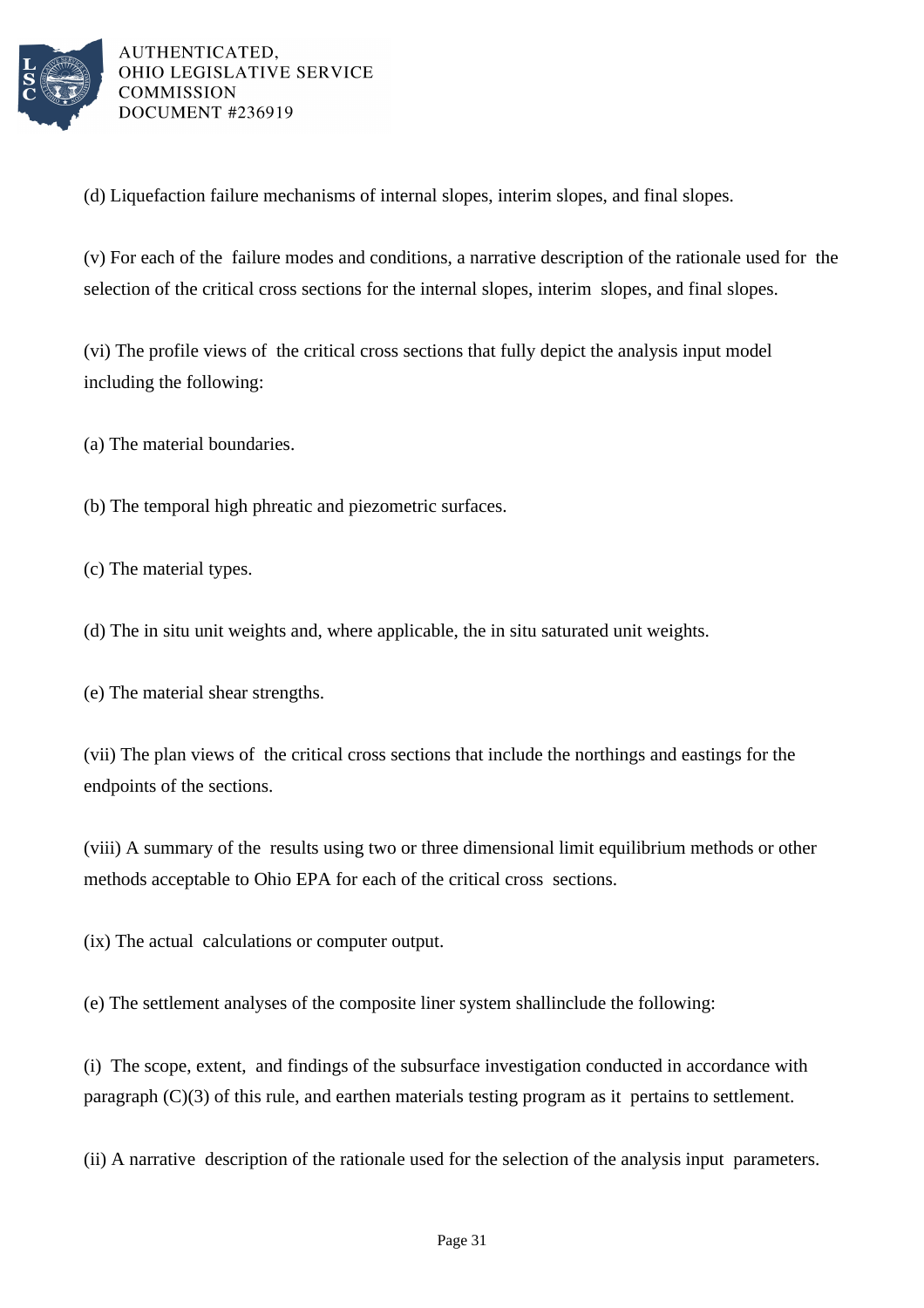

(d) Liquefaction failure mechanisms of internal slopes, interim slopes, and final slopes.

(v) For each of the failure modes and conditions, a narrative description of the rationale used for the selection of the critical cross sections for the internal slopes, interim slopes, and final slopes.

(vi) The profile views of the critical cross sections that fully depict the analysis input model including the following:

(a) The material boundaries.

(b) The temporal high phreatic and piezometric surfaces.

(c) The material types.

(d) The in situ unit weights and, where applicable, the in situ saturated unit weights.

(e) The material shear strengths.

(vii) The plan views of the critical cross sections that include the northings and eastings for the endpoints of the sections.

(viii) A summary of the results using two or three dimensional limit equilibrium methods or other methods acceptable to Ohio EPA for each of the critical cross sections.

(ix) The actual calculations or computer output.

(e) The settlement analyses of the composite liner system shall include the following:

(i) The scope, extent, and findings of the subsurface investigation conducted in accordance with paragraph  $(C)(3)$  of this rule, and earthen materials testing program as it pertains to settlement.

(ii) A narrative description of the rationale used for the selection of the analysis input parameters.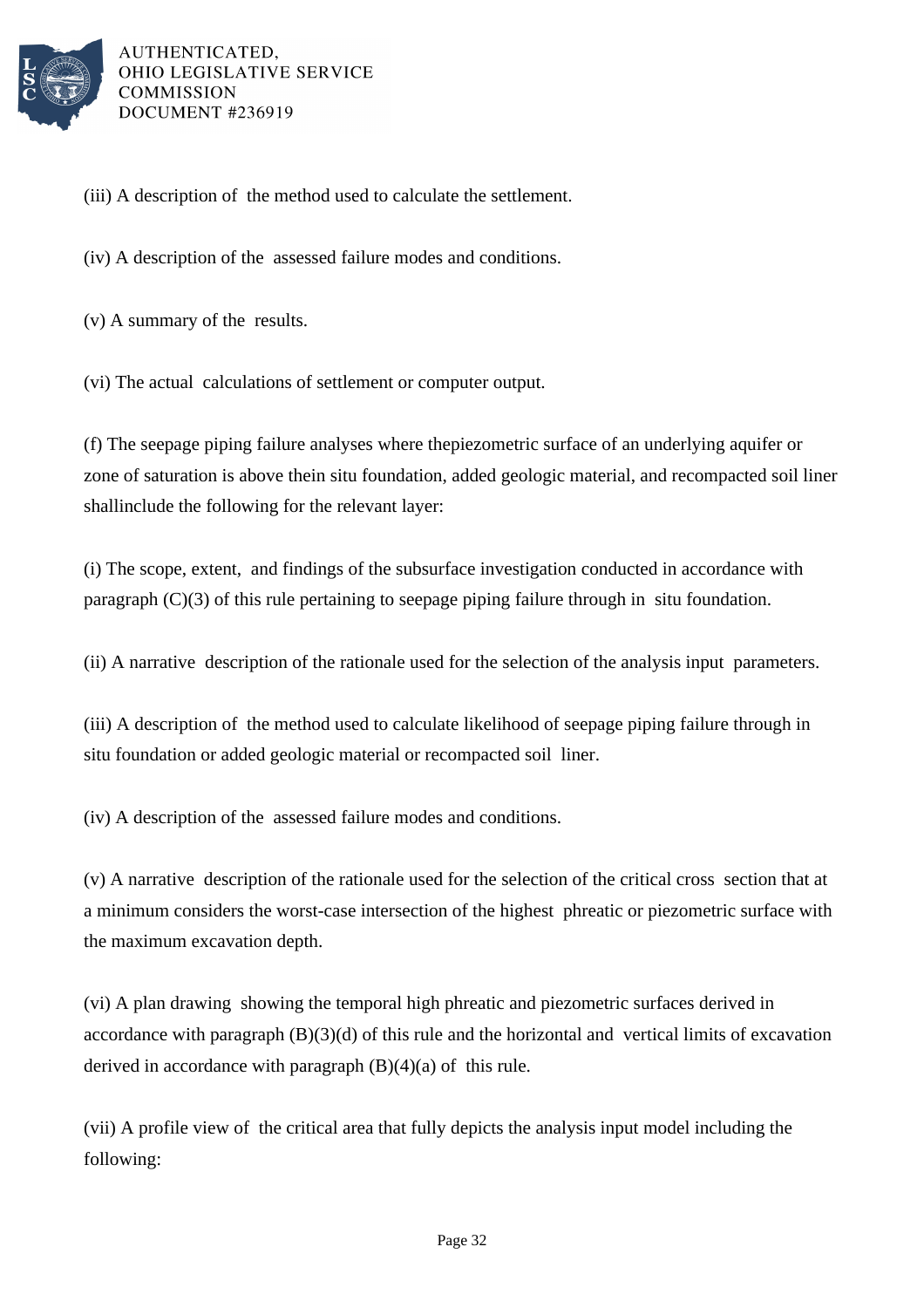

(iii) A description of the method used to calculate the settlement.

(iv) A description of the assessed failure modes and conditions.

 $(v)$  A summary of the results.

(vi) The actual calculations of settlement or computer output.

(f) The seepage piping failure analyses where the piezometric surface of an underlying aquifer or zone of saturation is above the in situ foundation, added geologic material, and recompacted soil liner shall include the following for the relevant layer:

(i) The scope, extent, and findings of the subsurface investigation conducted in accordance with paragraph  $(C)(3)$  of this rule pertaining to seepage piping failure through in situ foundation.

(ii) A narrative description of the rationale used for the selection of the analysis input parameters.

(iii) A description of the method used to calculate likelihood of seepage piping failure through in situ foundation or added geologic material or recompacted soil liner.

(iv) A description of the assessed failure modes and conditions.

 $(v)$  A narrative description of the rationale used for the selection of the critical cross section that at a minimum considers the worst-case intersection of the highest phreatic or piezometric surface with the maximum excavation depth.

(vi) A plan drawing showing the temporal high phreatic and piezometric surfaces derived in accordance with paragraph  $(B)(3)(d)$  of this rule and the horizontal and vertical limits of excavation derived in accordance with paragraph  $(B)(4)(a)$  of this rule.

(vii) A profile view of the critical area that fully depicts the analysis input model including the following: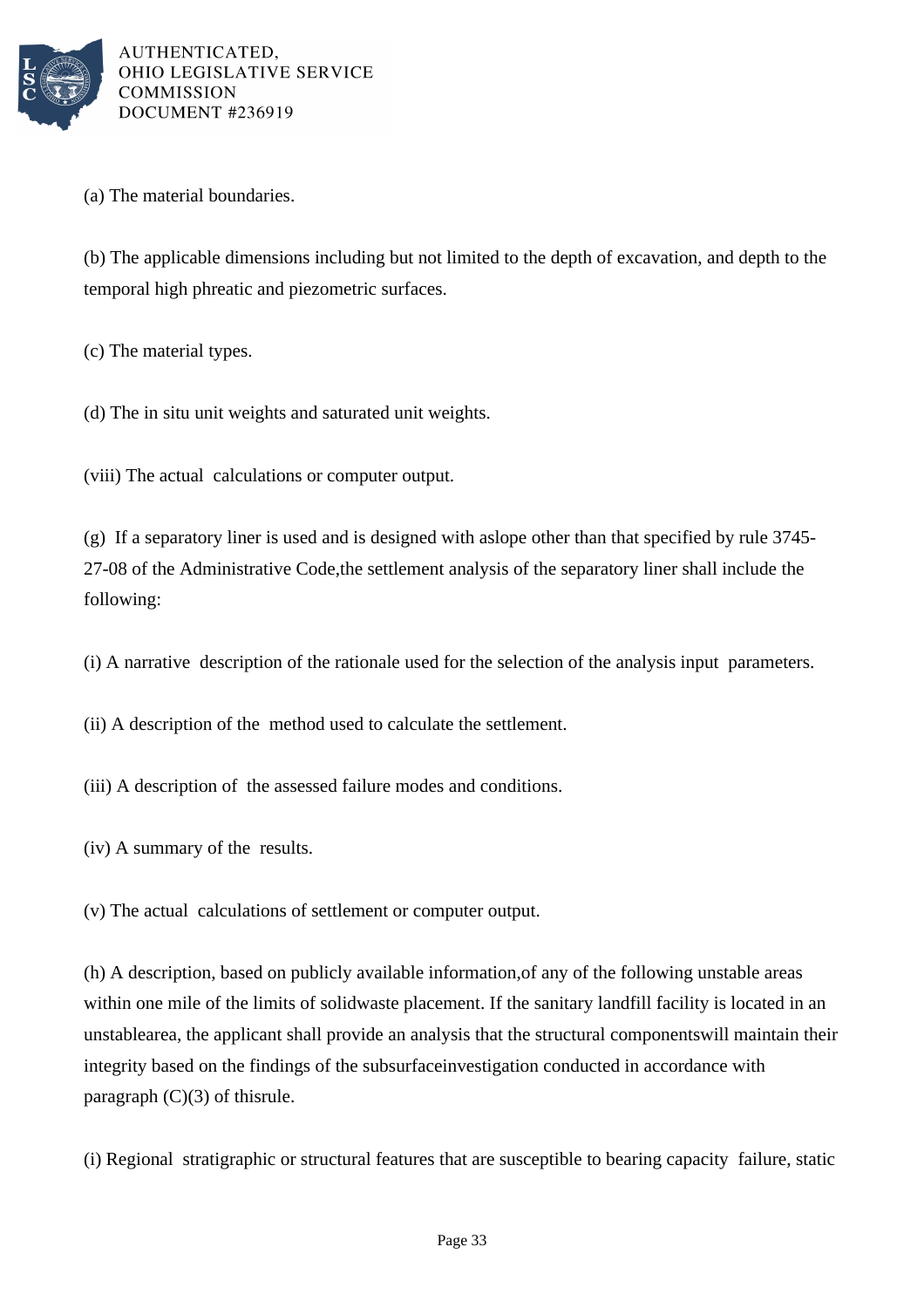

(a) The material boundaries.

(b) The applicable dimensions including but not limited to the depth of excavation, and depth to the temporal high phreatic and piezometric surfaces.

(c) The material types.

(d) The in situ unit weights and saturated unit weights.

(viii) The actual calculations or computer output.

(g) If a separatory liner is used and is designed with a slope other than that specified by rule 3745- 27-08 of the Administrative Code, the settlement analysis of the separatory liner shall include the following:

(i) A narrative description of the rationale used for the selection of the analysis input parameters.

(ii) A description of the method used to calculate the settlement.

(iii) A description of the assessed failure modes and conditions.

 $(iv)$  A summary of the results.

(v) The actual calculations of settlement or computer output.

(h) A description, based on publicly available information, of any of the following unstable areas within one mile of the limits of solid waste placement. If the sanitary landfill facility is located in an unstable area, the applicant shall provide an analysis that the structural components will maintain their integrity based on the findings of the subsurface investigation conducted in accordance with paragraph  $(C)(3)$  of this rule.

(i) Regional stratigraphic or structural features that are susceptible to bearing capacity failure, static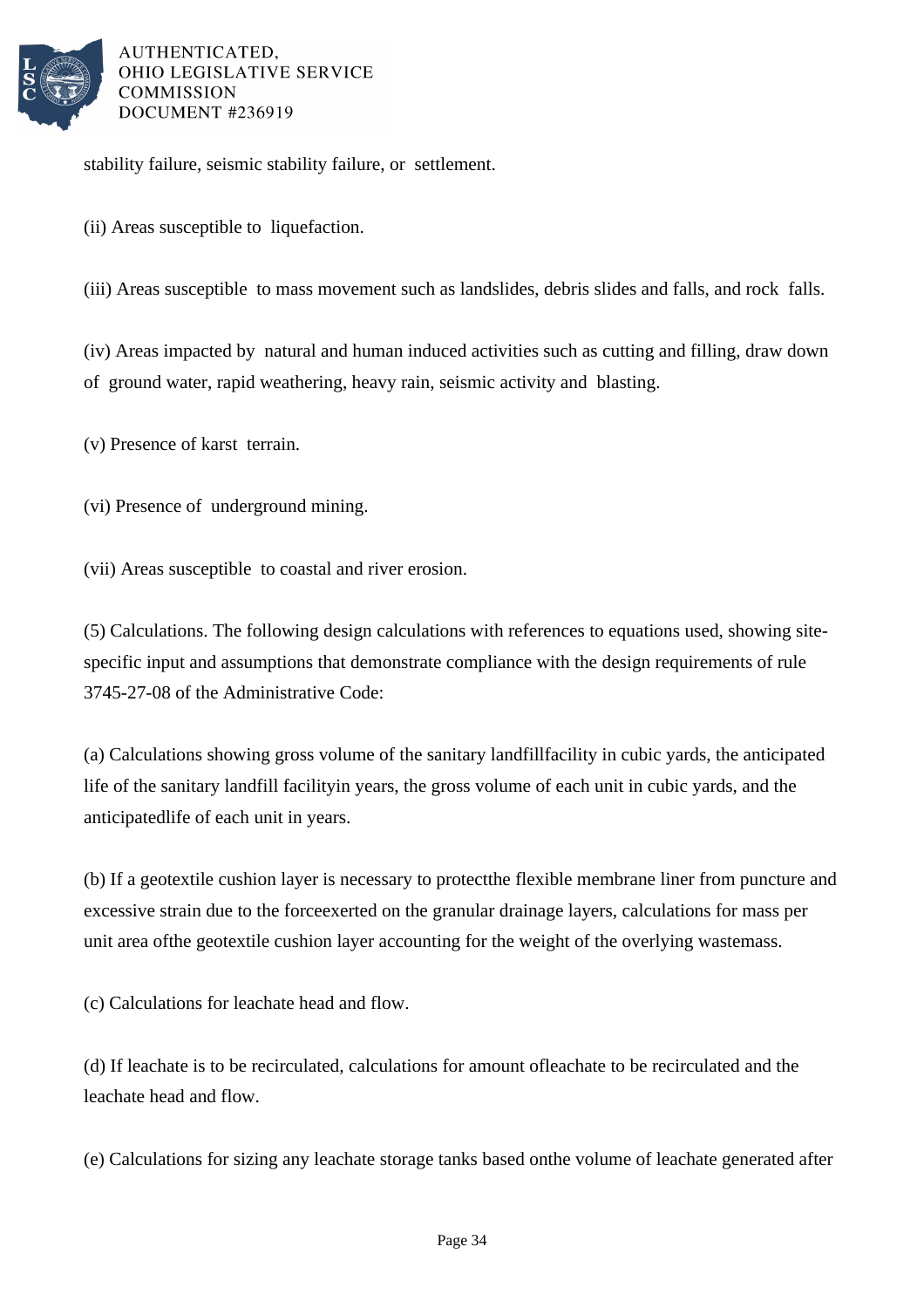

stability failure, seismic stability failure, or settlement.

(ii) Areas susceptible to liquefaction.

(iii) Areas susceptible to mass movement such as landslides, debris slides and falls, and rock falls.

(iv) Areas impacted by natural and human induced activities such as cutting and filling, draw down of ground water, rapid weathering, heavy rain, seismic activity and blasting.

(v) Presence of karst terrain.

(vi) Presence of underground mining.

(vii) Areas susceptible to coastal and river erosion.

(5) Calculations. The following design calculations with references to equations used, showing sitespecific input and assumptions that demonstrate compliance with the design requirements of rule 3745-27-08 of the Administrative Code:

(a) Calculations showing gross volume of the sanitary landfill facility in cubic yards, the anticipated life of the sanitary landfill facility in years, the gross volume of each unit in cubic yards, and the anticipated life of each unit in years.

(b) If a geotextile cushion layer is necessary to protect the flexible membrane liner from puncture and excessive strain due to the force exerted on the granular drainage layers, calculations for mass per unit area of the geotextile cushion layer accounting for the weight of the overlying waste mass.

(c) Calculations for leachate head and flow.

(d) If leachate is to be recirculated, calculations for amount of leachate to be recirculated and the leachate head and flow.

(e) Calculations for sizing any leachate storage tanks based on the volume of leachate generated after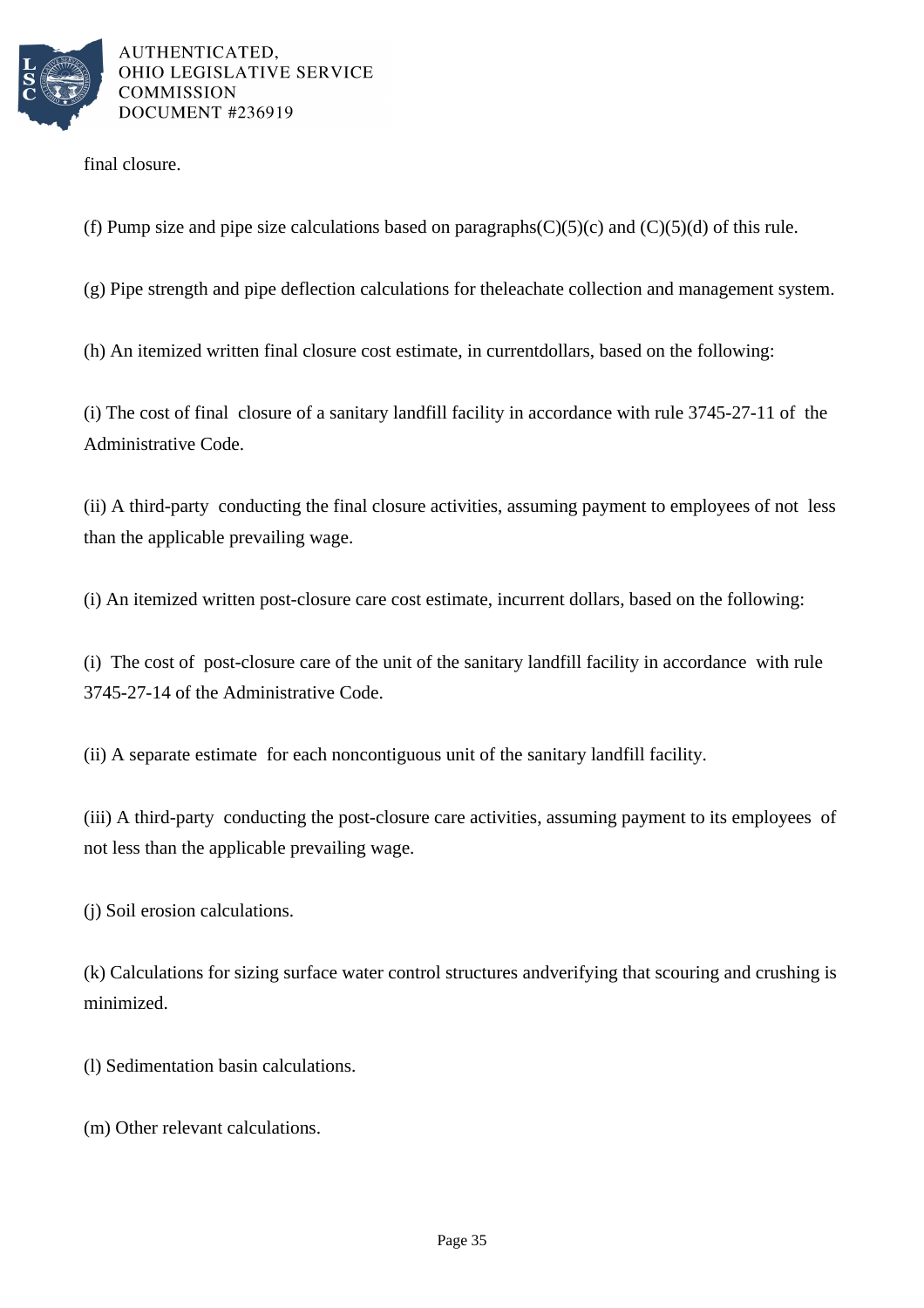

final closure.

(f) Pump size and pipe size calculations based on paragraphs  $(C)(5)(c)$  and  $(C)(5)(d)$  of this rule.

 $(g)$  Pipe strength and pipe deflection calculations for the leachate collection and management system.

(h) An itemized written final closure cost estimate, in current dollars, based on the following:

(i) The cost of final closure of a sanitary landfill facility in accordance with rule  $3745-27-11$  of the Administrative Code.

(ii) A third-party conducting the final closure activities, assuming payment to employees of not less than the applicable prevailing wage.

(i) An itemized written post-closure care cost estimate, in current dollars, based on the following:

(i) The cost of post-closure care of the unit of the sanitary landfill facility in accordance with rule 3745-27-14 of the Administrative Code.

(ii) A separate estimate for each noncontiguous unit of the sanitary landfill facility.

(iii) A third-party conducting the post-closure care activities, assuming payment to its employees of not less than the applicable prevailing wage.

(j) Soil erosion calculations.

(k) Calculations for sizing surface water control structures and verifying that scouring and crushing is minimized.

(l) Sedimentation basin calculations.

(m) Other relevant calculations.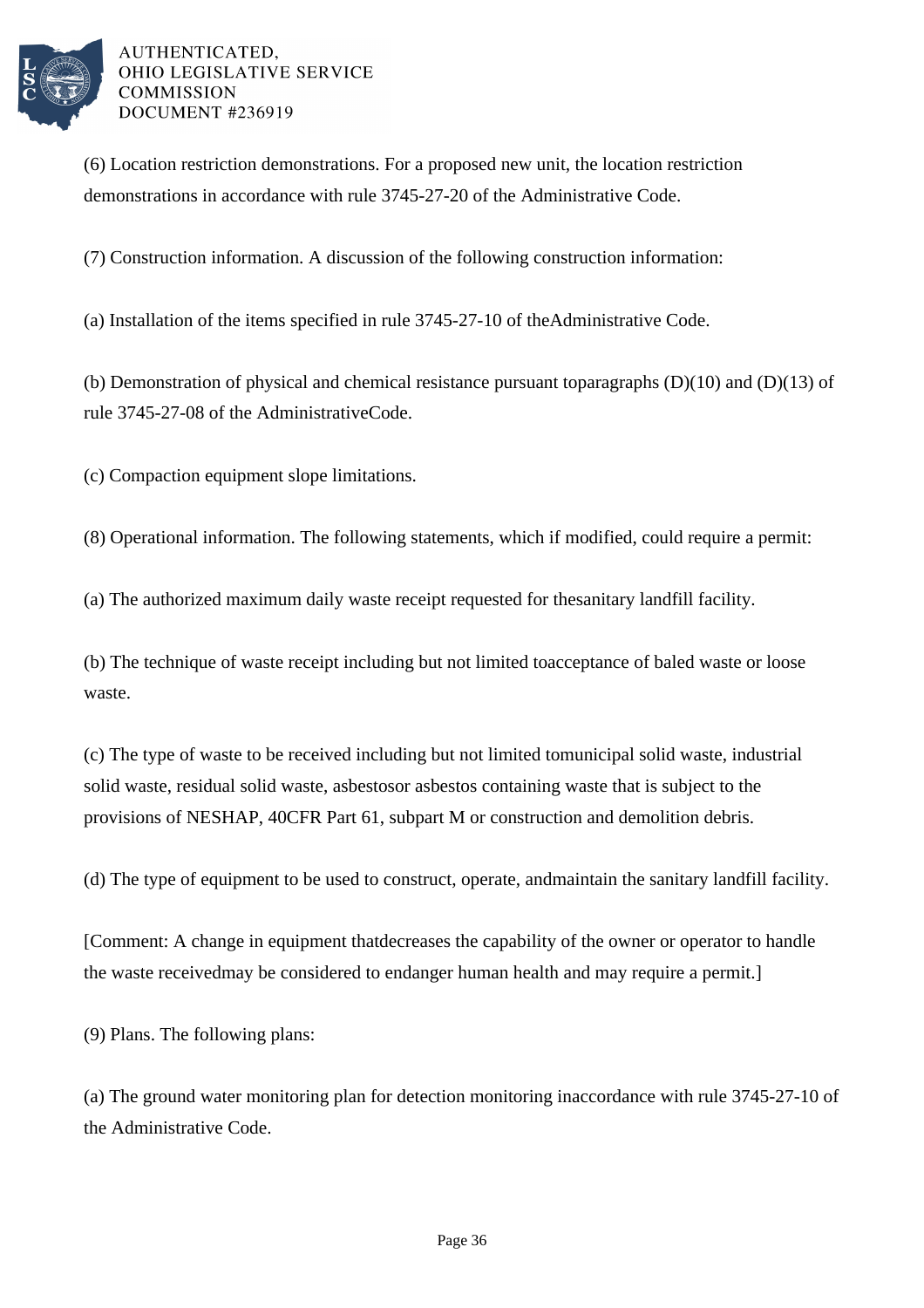

(6) Location restriction demonstrations. For a proposed new unit, the location restriction demonstrations in accordance with rule 3745-27-20 of the Administrative Code.

(7) Construction information. A discussion of the following construction information:

(a) Installation of the items specified in rule 3745-27-10 of the Administrative Code.

(b) Demonstration of physical and chemical resistance pursuant to paragraphs  $(D)(10)$  and  $(D)(13)$  of rule 3745-27-08 of the Administrative Code.

(c) Compaction equipment slope limitations.

 $(8)$  Operational information. The following statements, which if modified, could require a permit:

(a) The authorized maximum daily waste receipt requested for the sanitary landfill facility.

(b) The technique of waste receipt including but not limited to acceptance of baled waste or loose waste.

(c) The type of waste to be received including but not limited to municipal solid waste, industrial solid waste, residual solid waste, asbestos or asbestos containing waste that is subject to the provisions of NESHAP, 40 CFR Part 61, subpart M or construction and demolition debris.

(d) The type of equipment to be used to construct, operate, and maintain the sanitary landfill facility.

[Comment: A change in equipment that decreases the capability of the owner or operator to handle the waste received may be considered to endanger human health and may require a permit.

 $(9)$  Plans. The following plans:

(a) The ground water monitoring plan for detection monitoring in accordance with rule 3745-27-10 of the Administrative Code.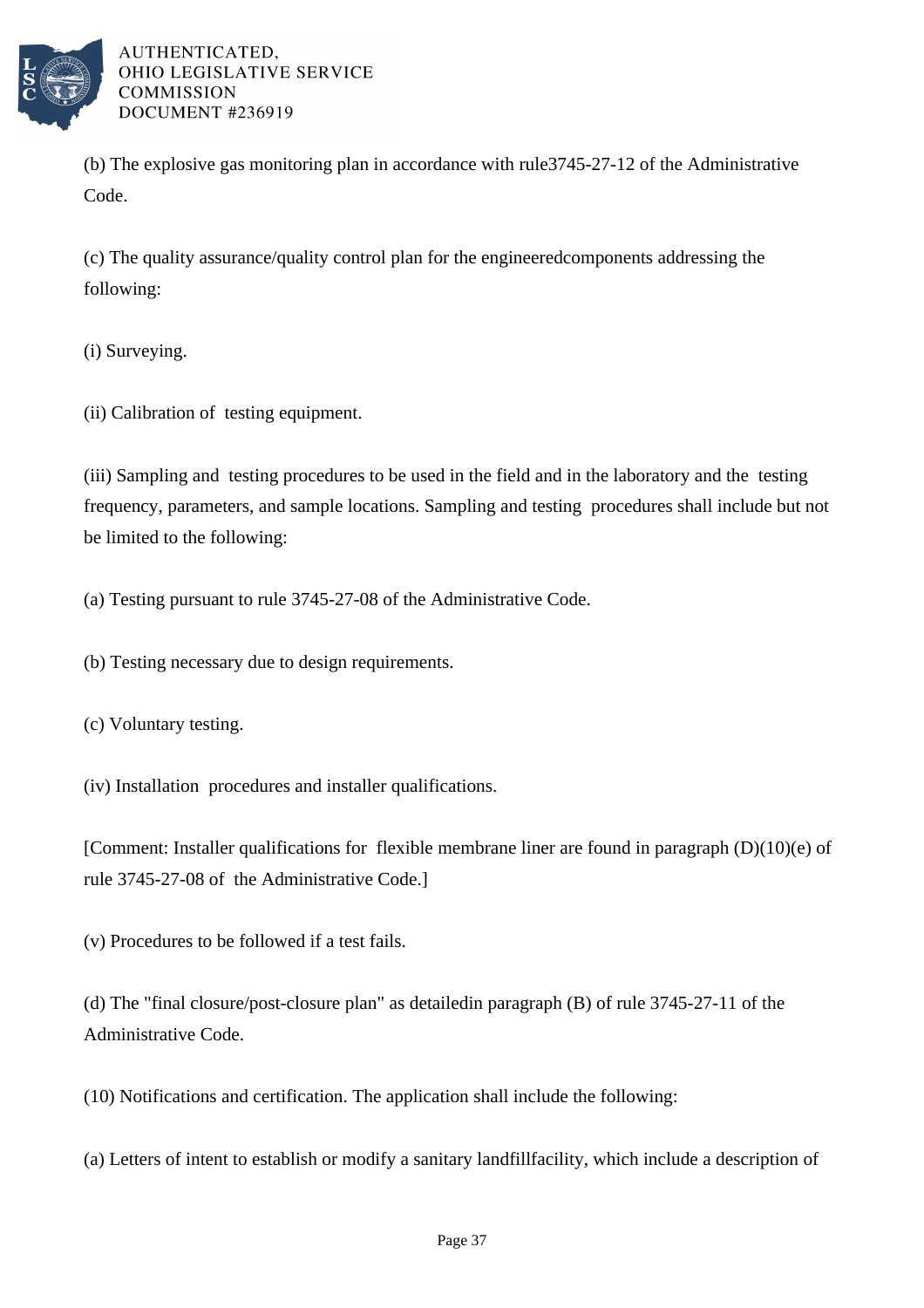

(b) The explosive gas monitoring plan in accordance with rule 3745-27-12 of the Administrative Code.

(c) The quality assurance/quality control plan for the engineered components addressing the following:

(i) Surveying.

(ii) Calibration of testing equipment.

(iii) Sampling and testing procedures to be used in the field and in the laboratory and the testing frequency, parameters, and sample locations. Sampling and testing procedures shall include but not be limited to the following:

(a) Testing pursuant to rule 3745-27-08 of the Administrative Code.

(b) Testing necessary due to design requirements.

(c) Voluntary testing.

(iv) Installation procedures and installer qualifications.

[Comment: Installer qualifications for flexible membrane liner are found in paragraph  $(D)(10)(e)$  of rule 3745-27-08 of the Administrative Code.

(v) Procedures to be followed if a test fails.

(d) The "final closure/post-closure plan" as detailed in paragraph  $(B)$  of rule 3745-27-11 of the Administrative Code.

(10) Notifications and certification. The application shall include the following:

(a) Letters of intent to establish or modify a sanitary landfill facility, which include a description of